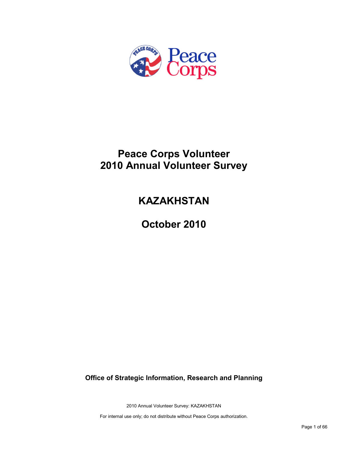

# **Peace Corps Volunteer 2010 Annual Volunteer Survey**

# **KAZAKHSTAN**

**October 2010**

**Office of Strategic Information, Research and Planning**

2010 Annual Volunteer Survey: KAZAKHSTAN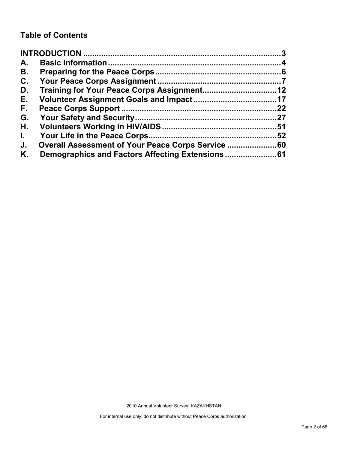## **Table of Contents**

| A.           |                                                |    |
|--------------|------------------------------------------------|----|
| В.           |                                                |    |
| C.           |                                                |    |
| D.           |                                                |    |
| Е.           |                                                |    |
| F.,          |                                                | 22 |
| G.           |                                                |    |
| Η.           |                                                |    |
| $\mathbf{L}$ |                                                |    |
| J.           | Overall Assessment of Your Peace Corps Service |    |
| Κ.           |                                                |    |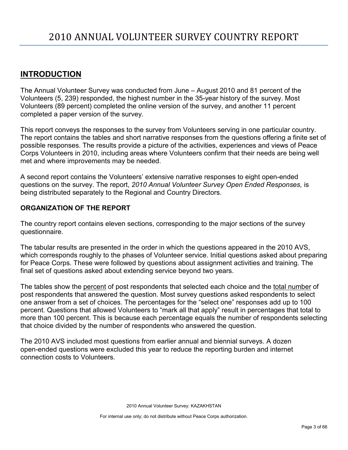## <span id="page-2-0"></span>**INTRODUCTION**

The Annual Volunteer Survey was conducted from June – August 2010 and 81 percent of the Volunteers (5, 239) responded, the highest number in the 35-year history of the survey. Most Volunteers (89 percent) completed the online version of the survey, and another 11 percent completed a paper version of the survey.

This report conveys the responses to the survey from Volunteers serving in one particular country. The report contains the tables and short narrative responses from the questions offering a finite set of possible responses. The results provide a picture of the activities, experiences and views of Peace Corps Volunteers in 2010, including areas where Volunteers confirm that their needs are being well met and where improvements may be needed.

A second report contains the Volunteers' extensive narrative responses to eight open-ended questions on the survey. The report, *2010 Annual Volunteer Survey Open Ended Responses,* is being distributed separately to the Regional and Country Directors.

## **ORGANIZATION OF THE REPORT**

The country report contains eleven sections, corresponding to the major sections of the survey questionnaire.

The tabular results are presented in the order in which the questions appeared in the 2010 AVS, which corresponds roughly to the phases of Volunteer service. Initial questions asked about preparing for Peace Corps. These were followed by questions about assignment activities and training. The final set of questions asked about extending service beyond two years.

The tables show the percent of post respondents that selected each choice and the total number of post respondents that answered the question. Most survey questions asked respondents to select one answer from a set of choices. The percentages for the "select one" responses add up to 100 percent. Questions that allowed Volunteers to "mark all that apply" result in percentages that total to more than 100 percent. This is because each percentage equals the number of respondents selecting that choice divided by the number of respondents who answered the question.

The 2010 AVS included most questions from earlier annual and biennial surveys. A dozen open-ended questions were excluded this year to reduce the reporting burden and internet connection costs to Volunteers.

2010 Annual Volunteer Survey: KAZAKHSTAN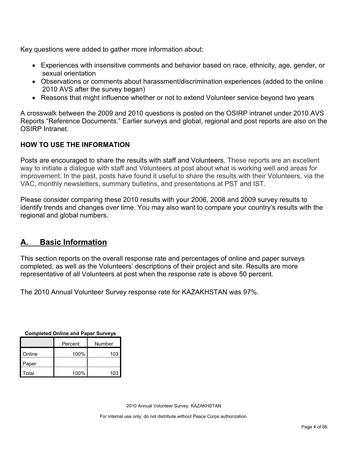Key questions were added to gather more information about:

- Experiences with insensitive comments and behavior based on race, ethnicity, age, gender, or sexual orientation
- Observations or comments about harassment/discrimination experiences (added to the online 2010 AVS after the survey began)
- Reasons that might influence whether or not to extend Volunteer service beyond two years

A crosswalk between the 2009 and 2010 questions is posted on the OSIRP intranet under 2010 AVS Reports "Reference Documents." Earlier surveys and global, regional and post reports are also on the OSIRP Intranet.

## **HOW TO USE THE INFORMATION**

Posts are encouraged to share the results with staff and Volunteers. These reports are an excellent way to initiate a dialogue with staff and Volunteers at post about what is working well and areas for improvement. In the past, posts have found it useful to share the results with their Volunteers, via the VAC, monthly newsletters, summary bulletins, and presentations at PST and IST.

Please consider comparing these 2010 results with your 2006, 2008 and 2009 survey results to identify trends and changes over time. You may also want to compare your country's results with the regional and global numbers.

## <span id="page-3-0"></span>**A. Basic Information**

This section reports on the overall response rate and percentages of online and paper surveys completed, as well as the Volunteers' descriptions of their project and site. Results are more representative of all Volunteers at post when the response rate is above 50 percent.

The 2010 Annual Volunteer Survey response rate for KAZAKHSTAN was 97%.

| Completed Online and Paper Surveys |      |        |  |  |
|------------------------------------|------|--------|--|--|
| Percent                            |      | Number |  |  |
| Online                             | 100% | 103    |  |  |
| Paper                              |      |        |  |  |
| Total                              | 100% | 103    |  |  |

**Completed Online and Paper Surveys**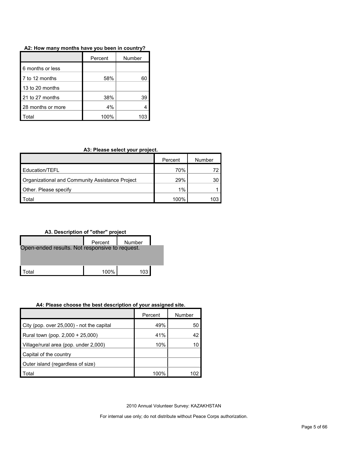#### **A2: How many months have you been in country?**

|                   | Percent | Number |
|-------------------|---------|--------|
| 6 months or less  |         |        |
| 7 to 12 months    | 58%     |        |
| 13 to 20 months   |         |        |
| 21 to 27 months   | 38%     | 39     |
| 28 months or more | 4%      |        |
| otal.             | 100%    | 103    |

#### **A3: Please select your project.**

|                                                 | Percent | Number |
|-------------------------------------------------|---------|--------|
| Education/TEFL                                  | 70%     |        |
| Organizational and Community Assistance Project | 29%     | 30     |
| Other. Please specify                           | 1%      |        |
| Гоtal                                           | 100%    |        |



#### **A4: Please choose the best description of your assigned site.**

|                                           | Percent | Number |
|-------------------------------------------|---------|--------|
| City (pop. over 25,000) - not the capital | 49%     | 50     |
| Rural town (pop. 2,000 + 25,000)          | 41%     | 42     |
| Village/rural area (pop. under 2,000)     | 10%     |        |
| Capital of the country                    |         |        |
| Outer island (regardless of size)         |         |        |
| Total                                     | 100%    | 102    |

2010 Annual Volunteer Survey: KAZAKHSTAN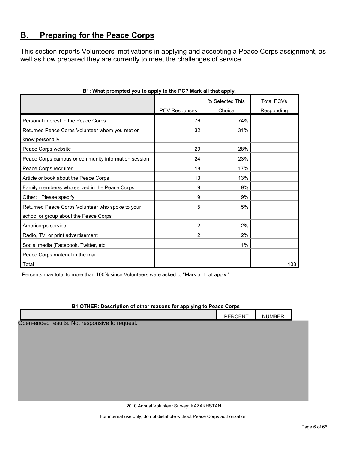## <span id="page-5-0"></span>**B. Preparing for the Peace Corps**

This section reports Volunteers' motivations in applying and accepting a Peace Corps assignment, as well as how prepared they are currently to meet the challenges of service.

|                                                     |                      | % Selected This | <b>Total PCVs</b> |
|-----------------------------------------------------|----------------------|-----------------|-------------------|
|                                                     | <b>PCV Responses</b> | Choice          | Responding        |
| Personal interest in the Peace Corps                | 76                   | 74%             |                   |
| Returned Peace Corps Volunteer whom you met or      | 32                   | 31%             |                   |
| know personally                                     |                      |                 |                   |
| Peace Corps website                                 | 29                   | 28%             |                   |
| Peace Corps campus or community information session | 24                   | 23%             |                   |
| Peace Corps recruiter                               | 18                   | 17%             |                   |
| Article or book about the Peace Corps               | 13                   | 13%             |                   |
| Family member/s who served in the Peace Corps       | 9                    | 9%              |                   |
| Other: Please specify                               | 9                    | 9%              |                   |
| Returned Peace Corps Volunteer who spoke to your    | 5                    | 5%              |                   |
| school or group about the Peace Corps               |                      |                 |                   |
| Americorps service                                  | 2                    | 2%              |                   |
| Radio, TV, or print advertisement                   | 2                    | 2%              |                   |
| Social media (Facebook, Twitter, etc.               | 1                    | 1%              |                   |
| Peace Corps material in the mail                    |                      |                 |                   |
| Total                                               |                      |                 | 103               |

## **B1: What prompted you to apply to the PC? Mark all that apply.**

Percents may total to more than 100% since Volunteers were asked to "Mark all that apply."

#### **B1.OTHER: Description of other reasons for applying to Peace Corps**

|                                                | PERCENT | <b>NUMBER</b> |  |
|------------------------------------------------|---------|---------------|--|
| Open-ended results. Not responsive to request. |         |               |  |
|                                                |         |               |  |
|                                                |         |               |  |
|                                                |         |               |  |
|                                                |         |               |  |
|                                                |         |               |  |
|                                                |         |               |  |
|                                                |         |               |  |

2010 Annual Volunteer Survey: KAZAKHSTAN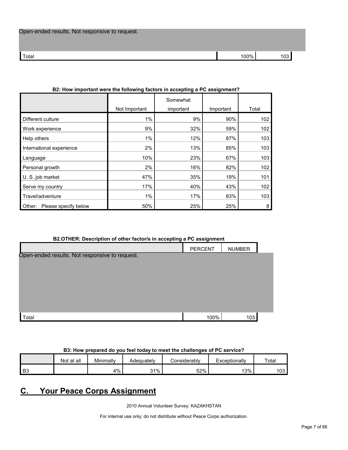| Open-ended results. Not responsive to request. |  |  |
|------------------------------------------------|--|--|
|------------------------------------------------|--|--|

| 1 U J | Total | 100% | $\sim$ |
|-------|-------|------|--------|

| DZ. HOW IMPORTANT WEIT THE IONOWING RECOTS IN ACCEPTING A FO ASSIGNMENT : |               |                       |           |       |
|---------------------------------------------------------------------------|---------------|-----------------------|-----------|-------|
|                                                                           | Not Important | Somewhat<br>important | Important | Total |
| Different culture                                                         | $1\%$         | 9%                    | 90%       | 102   |
| Work experience                                                           | 9%            | 32%                   | 59%       | 102   |
| Help others                                                               | $1\%$         | 12%                   | 87%       | 103   |
| International experience                                                  | 2%            | 13%                   | 85%       | 103   |
| Language                                                                  | 10%           | 23%                   | 67%       | 103   |
| Personal growth                                                           | 2%            | 16%                   | 82%       | 102   |
| U. S. job market                                                          | 47%           | 35%                   | 19%       | 101   |
| Serve my country                                                          | 17%           | 40%                   | 43%       | 102   |
| Travel/adventure                                                          | $1\%$         | 17%                   | 83%       | 103   |
| Please specify below<br>Other:                                            | 50%           | 25%                   | 25%       | 8     |

## **B2: How important were the following factors in accepting a PC assignment?**

#### **B2.OTHER: Description of other factor/s in accepting a PC assignment**

| $\tilde{\phantom{a}}$                          | -              |               |  |
|------------------------------------------------|----------------|---------------|--|
|                                                | <b>PERCENT</b> | <b>NUMBER</b> |  |
| Open-ended results. Not responsive to request. |                |               |  |
|                                                |                |               |  |
|                                                |                |               |  |
|                                                |                |               |  |
|                                                |                |               |  |
|                                                |                |               |  |
|                                                |                |               |  |
| Total                                          | 100%           | 103           |  |

## **B3: How prepared do you feel today to meet the challenges of PC service?**

|      | Not at all | Minimally | Adeauatelv | onsiderablvٽ | Exceptionally | Total     |
|------|------------|-----------|------------|--------------|---------------|-----------|
| l B3 |            | 4%        | $31\%$     | 52%          | 13%           | ィハつ<br>∪ט |

## <span id="page-6-0"></span>**C. Your Peace Corps Assignment**

2010 Annual Volunteer Survey: KAZAKHSTAN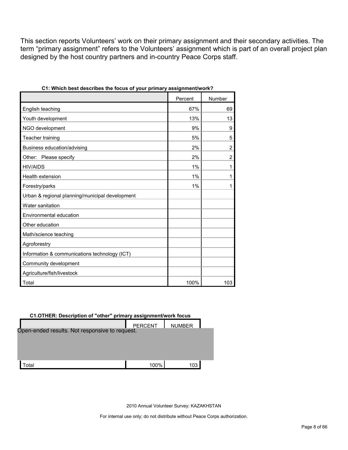This section reports Volunteers' work on their primary assignment and their secondary activities. The term "primary assignment" refers to the Volunteers' assignment which is part of an overall project plan designed by the host country partners and in-country Peace Corps staff.

| yvar printary                                   |         |                |
|-------------------------------------------------|---------|----------------|
|                                                 | Percent | Number         |
| English teaching                                | 67%     | 69             |
| Youth development                               | 13%     | 13             |
| NGO development                                 | 9%      | 9              |
| Teacher training                                | 5%      | 5              |
| Business education/advising                     | 2%      | $\overline{2}$ |
| Other: Please specify                           | 2%      | $\overline{c}$ |
| <b>HIV/AIDS</b>                                 | 1%      | 1              |
| Health extension                                | 1%      | 1              |
| Forestry/parks                                  | 1%      | 1              |
| Urban & regional planning/municipal development |         |                |
| Water sanitation                                |         |                |
| Environmental education                         |         |                |
| Other education                                 |         |                |
| Math/science teaching                           |         |                |
| Agroforestry                                    |         |                |
| Information & communications technology (ICT)   |         |                |
| Community development                           |         |                |
| Agriculture/fish/livestock                      |         |                |
| Total                                           | 100%    | 103            |

#### **C1.OTHER: Description of "other" primary assignment/work focus**

| Open-ended results. Not responsive to request. | <b>PERCENT</b> | <b>NUMBER</b> |  |
|------------------------------------------------|----------------|---------------|--|
|                                                |                |               |  |
|                                                |                |               |  |
|                                                |                |               |  |
| otal                                           | 100%           | 103           |  |

2010 Annual Volunteer Survey: KAZAKHSTAN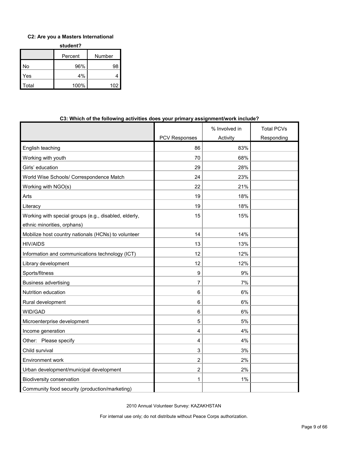## **C2: Are you a Masters International**

**student?**

|       | Percent | Number |  |
|-------|---------|--------|--|
| No    | 96%     | 98     |  |
| Yes   | 4%      |        |  |
| Total | 100%    | 102    |  |

| <b>Transfer of the following activities abes your primary assignment work include:</b> |                      |               |                   |
|----------------------------------------------------------------------------------------|----------------------|---------------|-------------------|
|                                                                                        |                      | % Involved in | <b>Total PCVs</b> |
|                                                                                        | <b>PCV Responses</b> | Activity      | Responding        |
| English teaching                                                                       | 86                   | 83%           |                   |
| Working with youth                                                                     | 70                   | 68%           |                   |
| Girls' education                                                                       | 29                   | 28%           |                   |
| World Wise Schools/ Correspondence Match                                               | 24                   | 23%           |                   |
| Working with NGO(s)                                                                    | 22                   | 21%           |                   |
| Arts                                                                                   | 19                   | 18%           |                   |
| Literacy                                                                               | 19                   | 18%           |                   |
| Working with special groups (e.g., disabled, elderly,<br>ethnic minorities, orphans)   | 15                   | 15%           |                   |
| Mobilize host country nationals (HCNs) to volunteer                                    | 14                   | 14%           |                   |
| <b>HIV/AIDS</b>                                                                        | 13                   | 13%           |                   |
| Information and communications technology (ICT)                                        | 12                   | 12%           |                   |
| Library development                                                                    | 12                   | 12%           |                   |
| Sports/fitness                                                                         | 9                    | $9\%$         |                   |
| <b>Business advertising</b>                                                            | $\overline{7}$       | 7%            |                   |
| Nutrition education                                                                    | 6                    | 6%            |                   |
| Rural development                                                                      | 6                    | 6%            |                   |
| WID/GAD                                                                                | 6                    | 6%            |                   |
| Microenterprise development                                                            | 5                    | 5%            |                   |
| Income generation                                                                      | 4                    | 4%            |                   |
| Other: Please specify                                                                  | 4                    | 4%            |                   |
| Child survival                                                                         | 3                    | 3%            |                   |
| Environment work                                                                       | $\overline{2}$       | 2%            |                   |
| Urban development/municipal development                                                | 2                    | 2%            |                   |
| <b>Biodiversity conservation</b>                                                       | 1                    | 1%            |                   |
| Community food security (production/marketing)                                         |                      |               |                   |

## **C3: Which of the following activities does your primary assignment/work include?**

2010 Annual Volunteer Survey: KAZAKHSTAN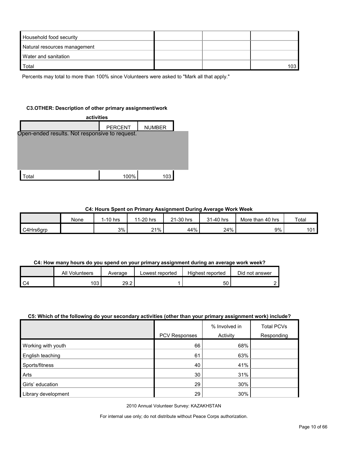| Household food security      |  |     |
|------------------------------|--|-----|
| Natural resources management |  |     |
| Water and sanitation         |  |     |
| Total                        |  | 103 |

Percents may total to more than 100% since Volunteers were asked to "Mark all that apply."

#### **C3.OTHER: Description of other primary assignment/work**

| activities                                     |                |               |  |  |
|------------------------------------------------|----------------|---------------|--|--|
|                                                | <b>PERCENT</b> | <b>NUMBER</b> |  |  |
| Open-ended results. Not responsive to request. |                |               |  |  |
|                                                |                |               |  |  |
|                                                |                |               |  |  |
|                                                |                |               |  |  |
|                                                |                |               |  |  |
| Total                                          | 100%           | 103           |  |  |

#### **C4: Hours Spent on Primary Assignment During Average Work Week**

|           | None | I-10 hrs | 11-20 hrs | 21-30 hrs | 31-40 hrs | More than 40 hrs | Total      |
|-----------|------|----------|-----------|-----------|-----------|------------------|------------|
| C4Hrs6grp |      | 3%       | 21%       | 44%       | 24%       | 9%               | 101<br>ט ו |

#### **C4: How many hours do you spend on your primary assignment during an average work week?**

| All Volunteers | Average | Lowest reported | Highest reported | Did not answer |
|----------------|---------|-----------------|------------------|----------------|
| 103            | 29.2    |                 | აυ               |                |

#### **C5: Which of the following do your secondary activities (other than your primary assignment work) include?**

|                     | PCV Responses | % Involved in<br>Activity | <b>Total PCVs</b><br>Responding |
|---------------------|---------------|---------------------------|---------------------------------|
| Working with youth  | 66            | 68%                       |                                 |
| English teaching    | 61            | 63%                       |                                 |
| Sports/fitness      | 40            | 41%                       |                                 |
| Arts                | 30            | 31%                       |                                 |
| Girls' education    | 29            | 30%                       |                                 |
| Library development | 29            | 30%                       |                                 |

2010 Annual Volunteer Survey: KAZAKHSTAN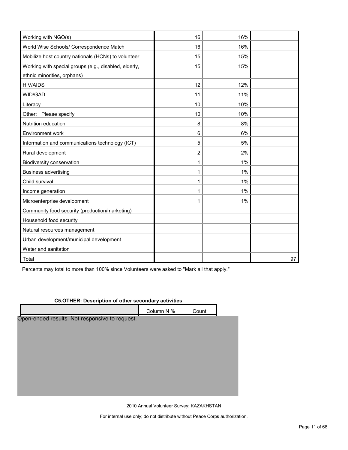| Working with NGO(s)                                   | 16 | 16% |    |
|-------------------------------------------------------|----|-----|----|
| World Wise Schools/ Correspondence Match              | 16 | 16% |    |
| Mobilize host country nationals (HCNs) to volunteer   | 15 | 15% |    |
| Working with special groups (e.g., disabled, elderly, | 15 | 15% |    |
| ethnic minorities, orphans)                           |    |     |    |
| <b>HIV/AIDS</b>                                       | 12 | 12% |    |
| WID/GAD                                               | 11 | 11% |    |
| Literacy                                              | 10 | 10% |    |
| Other: Please specify                                 | 10 | 10% |    |
| Nutrition education                                   | 8  | 8%  |    |
| Environment work                                      | 6  | 6%  |    |
| Information and communications technology (ICT)       | 5  | 5%  |    |
| Rural development                                     | 2  | 2%  |    |
| Biodiversity conservation                             | 1  | 1%  |    |
| <b>Business advertising</b>                           | 1  | 1%  |    |
| Child survival                                        | 1  | 1%  |    |
| Income generation                                     | 1  | 1%  |    |
| Microenterprise development                           | 1  | 1%  |    |
| Community food security (production/marketing)        |    |     |    |
| Household food security                               |    |     |    |
| Natural resources management                          |    |     |    |
| Urban development/municipal development               |    |     |    |
| Water and sanitation                                  |    |     |    |
| Total                                                 |    |     | 97 |

Percents may total to more than 100% since Volunteers were asked to "Mark all that apply."

| C5.OTHER: Description of other secondary activities |            |       |  |  |
|-----------------------------------------------------|------------|-------|--|--|
|                                                     | Column N % | Count |  |  |
| Open-ended results. Not responsive to request.      |            |       |  |  |
|                                                     |            |       |  |  |
|                                                     |            |       |  |  |
|                                                     |            |       |  |  |
|                                                     |            |       |  |  |
|                                                     |            |       |  |  |
|                                                     |            |       |  |  |
|                                                     |            |       |  |  |
|                                                     |            |       |  |  |

#### **C5.OTHER: Description of other secondary activities**

2010 Annual Volunteer Survey: KAZAKHSTAN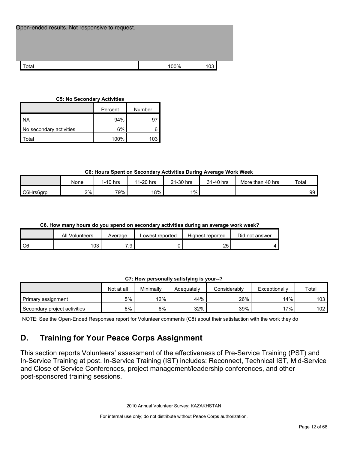| Open-ended results. Not responsive to request. |      |     |
|------------------------------------------------|------|-----|
|                                                |      |     |
| Total                                          | 100% | 103 |

#### **C5: No Secondary Activities**

|                         | Percent | Number          |
|-------------------------|---------|-----------------|
| I NA                    | 94%     |                 |
| No secondary activities | 6%      |                 |
| Total                   | 100%    | 10 <sup>⊷</sup> |

## **C6: Hours Spent on Secondary Activities During Average Work Week**

|           | <b>None</b> | 1-10 hrs | 1-20 hrs<br>11 | 21-30 hrs | 31-40 hrs | More than 40 hrs | Total |
|-----------|-------------|----------|----------------|-----------|-----------|------------------|-------|
| C6Hrs6grp | 2%          | 79%      | 18%            | $1\%$     |           |                  | 99    |

## **C6. How many hours do you spend on secondary activities during an average work week?**

|        | <b>All Volunteers</b> | Average             | Lowest reported | Highest reported | Did not answer |
|--------|-----------------------|---------------------|-----------------|------------------|----------------|
| $\sim$ | '03                   | -<br>$\Omega$<br>ت. |                 | つに<br>້          |                |

## **C7: How personally satisfying is your--?**

|                              | Not at all | Minimallv | Adeauatelv | Considerablv | Exceptionally | Total |
|------------------------------|------------|-----------|------------|--------------|---------------|-------|
| Primary assignment           | 5%         | 12%       | 44%        | 26%          | 14%           | 103   |
| Secondary project activities | 6%         | 6%        | 32%        | 39%          | '7%           | 102   |

NOTE: See the Open-Ended Responses report for Volunteer comments (C8) about their satisfaction with the work they do

## <span id="page-11-0"></span>**D. Training for Your Peace Corps Assignment**

This section reports Volunteers' assessment of the effectiveness of Pre-Service Training (PST) and In-Service Training at post. In-Service Training (IST) includes: Reconnect, Technical IST, Mid-Service and Close of Service Conferences, project management/leadership conferences, and other post-sponsored training sessions.

2010 Annual Volunteer Survey: KAZAKHSTAN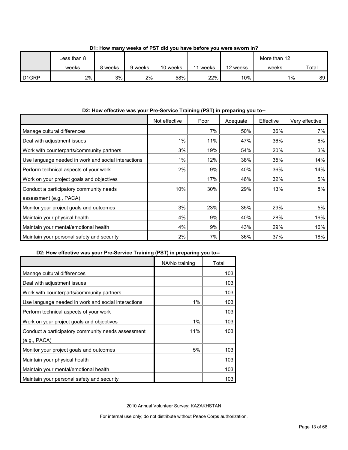|                   | ess than 8. |         |         |          |       |          | More than 12 |       |
|-------------------|-------------|---------|---------|----------|-------|----------|--------------|-------|
|                   | weeks       | 8 weeks | 9 weeks | 10 weeks | weeks | 12 weeks | weeks        | Total |
| D <sub>1GRP</sub> | 2%          | 3%      | 2%      | 58%      | 22%   | 10%      | 1%           | 89    |

**D1: How many weeks of PST did you have before you were sworn in?**

## **D2: How effective was your Pre-Service Training (PST) in preparing you to--**

|                                                     | Not effective | Poor | Adequate | Effective | Very effective |
|-----------------------------------------------------|---------------|------|----------|-----------|----------------|
| Manage cultural differences                         |               | 7%   | 50%      | 36%       | 7%             |
| Deal with adjustment issues                         | $1\%$         | 11%  | 47%      | 36%       | 6%             |
| Work with counterparts/community partners           | 3%            | 19%  | 54%      | 20%       | 3%             |
| Use language needed in work and social interactions | $1\%$         | 12%  | 38%      | 35%       | 14%            |
| Perform technical aspects of your work              | 2%            | 9%   | 40%      | 36%       | 14%            |
| Work on your project goals and objectives           |               | 17%  | 46%      | 32%       | 5%             |
| Conduct a participatory community needs             | 10%           | 30%  | 29%      | 13%       | 8%             |
| assessment (e.g., PACA)                             |               |      |          |           |                |
| Monitor your project goals and outcomes             | 3%            | 23%  | 35%      | 29%       | 5%             |
| Maintain your physical health                       | 4%            | 9%   | 40%      | 28%       | 19%            |
| Maintain your mental/emotional health               | 4%            | 9%   | 43%      | 29%       | 16%            |
| Maintain your personal safety and security          | 2%            | 7%   | 36%      | 37%       | 18%            |

## **D2: How effective was your Pre-Service Training (PST) in preparing you to--**

|                                                     | NA/No training | Total |
|-----------------------------------------------------|----------------|-------|
| Manage cultural differences                         |                | 103   |
| Deal with adjustment issues                         |                | 103   |
| Work with counterparts/community partners           |                | 103   |
| Use language needed in work and social interactions | 1%             | 103   |
| Perform technical aspects of your work              |                | 103   |
| Work on your project goals and objectives           | 1%             | 103   |
| Conduct a participatory community needs assessment  | 11%            | 103   |
| (e.g., PACA)                                        |                |       |
| Monitor your project goals and outcomes             | 5%             | 103   |
| Maintain your physical health                       |                | 103   |
| Maintain your mental/emotional health               |                | 103   |
| Maintain your personal safety and security          |                | 103   |

2010 Annual Volunteer Survey: KAZAKHSTAN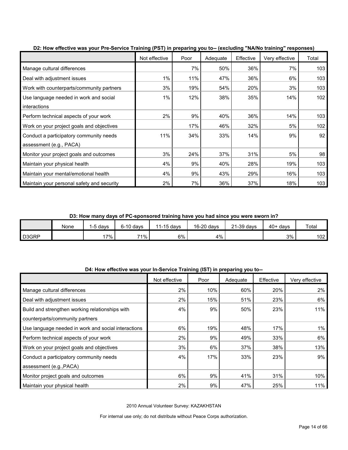| 22. How onoon't may journ't corrico training (1 c) in proparing jou to resoluting them training tooponooof |               |      |          |           |                |       |
|------------------------------------------------------------------------------------------------------------|---------------|------|----------|-----------|----------------|-------|
|                                                                                                            | Not effective | Poor | Adequate | Effective | Very effective | Total |
| Manage cultural differences                                                                                |               | 7%   | 50%      | 36%       | 7%             | 103   |
| Deal with adjustment issues                                                                                | $1\%$         | 11%  | 47%      | 36%       | 6%             | 103   |
| Work with counterparts/community partners                                                                  | 3%            | 19%  | 54%      | 20%       | 3%             | 103   |
| Use language needed in work and social                                                                     | 1%            | 12%  | 38%      | 35%       | 14%            | 102   |
| interactions                                                                                               |               |      |          |           |                |       |
| Perform technical aspects of your work                                                                     | 2%            | 9%   | 40%      | 36%       | 14%            | 103   |
| Work on your project goals and objectives                                                                  |               | 17%  | 46%      | 32%       | 5%             | 102   |
| Conduct a participatory community needs                                                                    | 11%           | 34%  | 33%      | 14%       | 9%             | 92    |
| assessment (e.g., PACA)                                                                                    |               |      |          |           |                |       |
| Monitor your project goals and outcomes                                                                    | 3%            | 24%  | 37%      | 31%       | 5%             | 98    |
| Maintain your physical health                                                                              | 4%            | 9%   | 40%      | 28%       | 19%            | 103   |
| Maintain your mental/emotional health                                                                      | 4%            | 9%   | 43%      | 29%       | 16%            | 103   |
| Maintain your personal safety and security                                                                 | 2%            | 7%   | 36%      | 37%       | 18%            | 103   |

**D2: How effective was your Pre-Service Training (PST) in preparing you to-- (excluding "NA/No training" responses)**

**D3: How many days of PC-sponsored training have you had since you were sworn in?**

|       | None | -5 davs | $6-10$ days | $1-15$ days | 16-20 days | <sup>2</sup> 1-39 days | $40+$ days | Total |
|-------|------|---------|-------------|-------------|------------|------------------------|------------|-------|
| D3GRP |      | $7\%$ . | 71%         | $6\%$       | 4%         |                        | 3%         | 102   |

| D4: How effective was your In-Service Training (IST) in preparing you to-- |  |  |  |
|----------------------------------------------------------------------------|--|--|--|
|                                                                            |  |  |  |

|                                                     | Not effective | Poor | Adequate | Effective | Very effective |
|-----------------------------------------------------|---------------|------|----------|-----------|----------------|
| Manage cultural differences                         | 2%            | 10%  | 60%      | 20%       | $2\%$          |
| Deal with adjustment issues                         | 2%            | 15%  | 51%      | 23%       | 6%             |
| Build and strengthen working relationships with     | 4%            | 9%   | 50%      | 23%       | 11%            |
| counterparts/community partners                     |               |      |          |           |                |
| Use language needed in work and social interactions | 6%            | 19%  | 48%      | 17%       | 1%             |
| Perform technical aspects of your work              | 2%            | 9%   | 49%      | 33%       | 6%             |
| Work on your project goals and objectives           | 3%            | 6%   | 37%      | 38%       | 13%            |
| Conduct a participatory community needs             | 4%            | 17%  | 33%      | 23%       | 9%             |
| assessment (e.g., PACA)                             |               |      |          |           |                |
| Monitor project goals and outcomes                  | 6%            | 9%   | 41%      | 31%       | 10%            |
| Maintain your physical health                       | 2%            | 9%   | 47%      | 25%       | 11%            |

2010 Annual Volunteer Survey: KAZAKHSTAN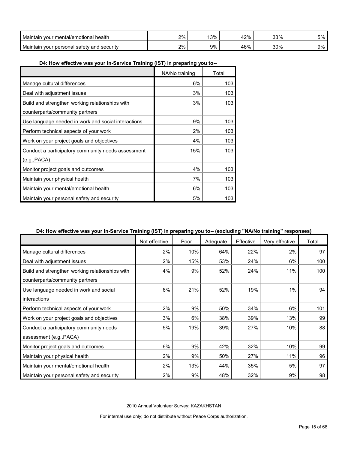| Maintair<br>health<br>i vour mental/emotional *               | 2% | 1201<br>70 ت    | 1つ0/<br>$\sqrt{0}$<br>т с | 33%  | 5% |
|---------------------------------------------------------------|----|-----------------|---------------------------|------|----|
| <b>Maintair</b><br>∵ vour personal ⊾<br>l safety and security | 2% | 20 <sub>6</sub> | 160/                      | 300% | 9% |

## **D4: How effective was your In-Service Training (IST) in preparing you to--**

|                                                     | NA/No training | Total |
|-----------------------------------------------------|----------------|-------|
| Manage cultural differences                         | 6%             | 103   |
| Deal with adjustment issues                         | 3%             | 103   |
| Build and strengthen working relationships with     | 3%             | 103   |
| counterparts/community partners                     |                |       |
| Use language needed in work and social interactions | 9%             | 103   |
| Perform technical aspects of your work              | 2%             | 103   |
| Work on your project goals and objectives           | 4%             | 103   |
| Conduct a participatory community needs assessment  | 15%            | 103   |
| (e.g., PACA)                                        |                |       |
| Monitor project goals and outcomes                  | 4%             | 103   |
| Maintain your physical health                       | 7%             | 103   |
| Maintain your mental/emotional health               | 6%             | 103   |
| Maintain your personal safety and security          | 5%             | 103   |

## **D4: How effective was your In-Service Training (IST) in preparing you to-- (excluding "NA/No training" responses)**

|                                                 | .<br>Not effective | Poor | Adequate | Effective | Very effective | Total |
|-------------------------------------------------|--------------------|------|----------|-----------|----------------|-------|
| Manage cultural differences                     | 2%                 | 10%  | 64%      | 22%       | 2%             | 97    |
| Deal with adjustment issues                     | 2%                 | 15%  | 53%      | 24%       | 6%             | 100   |
| Build and strengthen working relationships with | 4%                 | 9%   | 52%      | 24%       | 11%            | 100   |
| counterparts/community partners                 |                    |      |          |           |                |       |
| Use language needed in work and social          | 6%                 | 21%  | 52%      | 19%       | 1%             | 94    |
| interactions                                    |                    |      |          |           |                |       |
| Perform technical aspects of your work          | 2%                 | 9%   | 50%      | 34%       | 6%             | 101   |
| Work on your project goals and objectives       | 3%                 | 6%   | 38%      | 39%       | 13%            | 99    |
| Conduct a participatory community needs         | 5%                 | 19%  | 39%      | 27%       | 10%            | 88    |
| assessment (e.g., PACA)                         |                    |      |          |           |                |       |
| Monitor project goals and outcomes              | 6%                 | 9%   | 42%      | 32%       | 10%            | 99    |
| Maintain your physical health                   | 2%                 | 9%   | 50%      | 27%       | 11%            | 96    |
| Maintain your mental/emotional health           | 2%                 | 13%  | 44%      | 35%       | 5%             | 97    |
| Maintain your personal safety and security      | 2%                 | 9%   | 48%      | 32%       | 9%             | 98    |

2010 Annual Volunteer Survey: KAZAKHSTAN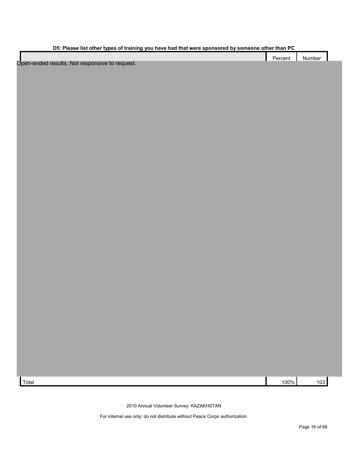| D5: Please list other types of training you have had that were sponsored by someone other than PC |
|---------------------------------------------------------------------------------------------------|
|---------------------------------------------------------------------------------------------------|

|                                                | Percent   Number |  |
|------------------------------------------------|------------------|--|
| Open-ended results. Not responsive to request. |                  |  |

Total 100% 103

2010 Annual Volunteer Survey: KAZAKHSTAN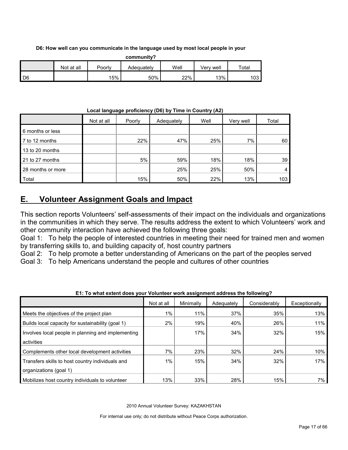## **D6: How well can you communicate in the language used by most local people in your**

| community? |            |        |            |      |           |       |  |
|------------|------------|--------|------------|------|-----------|-------|--|
|            | Not at all | Poorlv | Adequatelv | Well | Verv well | Total |  |
| D6         |            | 15%    | 50%        | 22%  | 13%       | 103   |  |

## **Local language proficiency (D6) by Time in Country (A2)**

|                   | Not at all | Poorly | Adequately | Well | Very well | Total |
|-------------------|------------|--------|------------|------|-----------|-------|
| 6 months or less  |            |        |            |      |           |       |
| 7 to 12 months    |            | 22%    | 47%        | 25%  | 7%        | 60    |
| 13 to 20 months   |            |        |            |      |           |       |
| 21 to 27 months   |            | 5%     | 59%        | 18%  | 18%       | 39    |
| 28 months or more |            |        | 25%        | 25%  | 50%       |       |
| Total             |            | 15%    | 50%        | 22%  | 13%       | 103   |

## <span id="page-16-0"></span>**E. Volunteer Assignment Goals and Impact**

This section reports Volunteers' self-assessments of their impact on the individuals and organizations in the communities in which they serve. The results address the extent to which Volunteers' work and other community interaction have achieved the following three goals:

Goal 1: To help the people of interested countries in meeting their need for trained men and women by transferring skills to, and building capacity of, host country partners

Goal 2: To help promote a better understanding of Americans on the part of the peoples served

Goal 3: To help Americans understand the people and cultures of other countries

|                                                    | Not at all | Minimally | Adequately | Considerably | Exceptionally |
|----------------------------------------------------|------------|-----------|------------|--------------|---------------|
| Meets the objectives of the project plan           | 1%         | 11%       | 37%        | 35%          | 13%           |
| Builds local capacity for sustainability (goal 1)  | 2%         | 19%       | 40%        | 26%          | 11%           |
| Involves local people in planning and implementing |            | 17%       | 34%        | 32%          | 15%           |
| activities                                         |            |           |            |              |               |
| Complements other local development activities     | 7%         | 23%       | 32%        | 24%          | 10%           |
| Transfers skills to host country individuals and   | 1%         | 15%       | 34%        | 32%          | 17%           |
| organizations (goal 1)                             |            |           |            |              |               |
| Mobilizes host country individuals to volunteer    | 13%        | 33%       | 28%        | 15%          | 7%            |

**E1: To what extent does your Volunteer work assignment address the following?**

2010 Annual Volunteer Survey: KAZAKHSTAN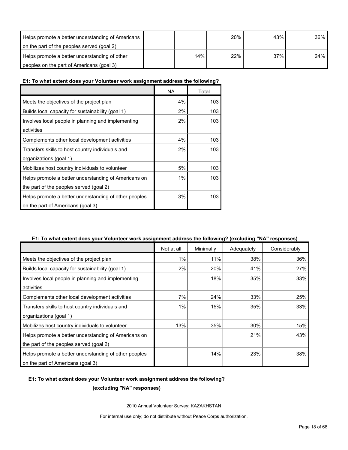| Helps promote a better understanding of Americans |     | 20% | 43% | 36% |
|---------------------------------------------------|-----|-----|-----|-----|
| on the part of the peoples served (goal 2)        |     |     |     |     |
| Helps promote a better understanding of other     | 14% | 22% | 37% | 24% |
| peoples on the part of Americans (goal 3)         |     |     |     |     |

#### **E1: To what extent does your Volunteer work assignment address the following?**

|                                                       | NA | Total |
|-------------------------------------------------------|----|-------|
| Meets the objectives of the project plan              | 4% | 103   |
| Builds local capacity for sustainability (goal 1)     | 2% | 103   |
| Involves local people in planning and implementing    | 2% | 103   |
| activities                                            |    |       |
| Complements other local development activities        | 4% | 103   |
| Transfers skills to host country individuals and      | 2% | 103   |
| organizations (goal 1)                                |    |       |
| Mobilizes host country individuals to volunteer       | 5% | 103   |
| Helps promote a better understanding of Americans on  | 1% | 103   |
| the part of the peoples served (goal 2)               |    |       |
| Helps promote a better understanding of other peoples | 3% | 103   |
| on the part of Americans (goal 3)                     |    |       |

## **E1: To what extent does your Volunteer work assignment address the following? (excluding "NA" responses)**

|                                                       | Not at all | Minimally | Adequately | Considerably |
|-------------------------------------------------------|------------|-----------|------------|--------------|
| Meets the objectives of the project plan              | 1%         | 11%       | 38%        | 36%          |
| Builds local capacity for sustainability (goal 1)     | 2%         | 20%       | 41%        | 27%          |
| Involves local people in planning and implementing    |            | 18%       | 35%        | 33%          |
| activities                                            |            |           |            |              |
| Complements other local development activities        | 7%         | 24%       | 33%        | 25%          |
| Transfers skills to host country individuals and      | $1\%$      | 15%       | 35%        | 33%          |
| organizations (goal 1)                                |            |           |            |              |
| Mobilizes host country individuals to volunteer       | 13%        | 35%       | 30%        | 15%          |
| Helps promote a better understanding of Americans on  |            |           | 21%        | 43%          |
| the part of the peoples served (goal 2)               |            |           |            |              |
| Helps promote a better understanding of other peoples |            | 14%       | 23%        | 38%          |
| on the part of Americans (goal 3)                     |            |           |            |              |

## **E1: To what extent does your Volunteer work assignment address the following?**

**(excluding "NA" responses)**

2010 Annual Volunteer Survey: KAZAKHSTAN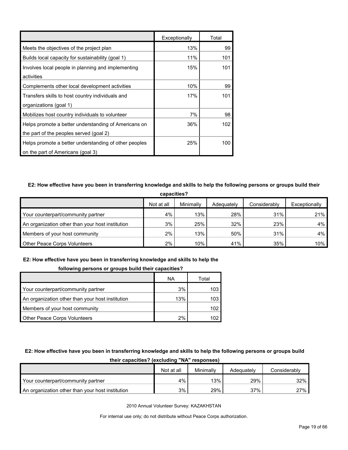|                                                       | Exceptionally | Total |
|-------------------------------------------------------|---------------|-------|
| Meets the objectives of the project plan              | 13%           | 99    |
| Builds local capacity for sustainability (goal 1)     | 11%           | 101   |
| Involves local people in planning and implementing    | 15%           | 101   |
| activities                                            |               |       |
| Complements other local development activities        | 10%           | 99    |
| Transfers skills to host country individuals and      | 17%           | 101   |
| organizations (goal 1)                                |               |       |
| Mobilizes host country individuals to volunteer       | 7%            | 98    |
| Helps promote a better understanding of Americans on  | 36%           | 102   |
| the part of the peoples served (goal 2)               |               |       |
| Helps promote a better understanding of other peoples | 25%           | 100   |
| on the part of Americans (goal 3)                     |               |       |

## **E2: How effective have you been in transferring knowledge and skills to help the following persons or groups build their**

| capacities?                                      |            |           |            |              |               |  |
|--------------------------------------------------|------------|-----------|------------|--------------|---------------|--|
|                                                  | Not at all | Minimally | Adequately | Considerably | Exceptionally |  |
| Your counterpart/community partner               | 4%         | 13%       | 28%        | 31%          | 21%           |  |
| An organization other than your host institution | 3%         | 25%       | 32%        | 23%          | $4\%$         |  |
| Members of your host community                   | 2%         | 13%       | 50%        | 31%          | 4%            |  |
| <b>Other Peace Corps Volunteers</b>              | $2\%$      | 10%       | 41%        | 35%          | 10%           |  |

## **E2: How effective have you been in transferring knowledge and skills to help the**

#### **following persons or groups build their capacities?**

|                                                  | ΝA  | Total |
|--------------------------------------------------|-----|-------|
| Your counterpart/community partner               | 3%  | 103   |
| An organization other than your host institution | 13% | 103   |
| Members of your host community                   |     | 102   |
| Other Peace Corps Volunteers                     | 2%  |       |

#### **E2: How effective have you been in transferring knowledge and skills to help the following persons or groups build**

| ultil capacities: Italiaalija IVA Tespolists     |            |           |            |              |  |  |  |
|--------------------------------------------------|------------|-----------|------------|--------------|--|--|--|
|                                                  | Not at all | Minimally | Adequately | Considerably |  |  |  |
| Your counterpart/community partner               | 4%         | 13%       | 29%        | 32%          |  |  |  |
| An organization other than your host institution | 3%         | 29%       | 37%        | 27%          |  |  |  |

**their capacities? (excluding "NA" responses)**

2010 Annual Volunteer Survey: KAZAKHSTAN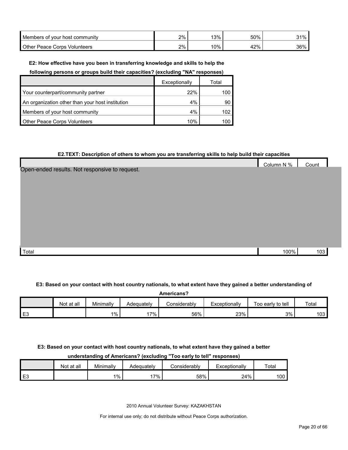| <b>Members</b><br>of vour host ن<br>: communitv | 2% | 3%  | 50%    | 31% |
|-------------------------------------------------|----|-----|--------|-----|
| Other<br>Volunteers<br>' orpsٽ<br>Peace         | 2% | 10% | $'2\%$ | 36% |

#### **E2: How effective have you been in transferring knowledge and skills to help the**

**following persons or groups build their capacities? (excluding "NA" responses)**

|                                                  | Exceptionally | Total |
|--------------------------------------------------|---------------|-------|
| Your counterpart/community partner               | 22%           | 100   |
| An organization other than your host institution | 4%            | 90    |
| Members of your host community                   | 4%            | 102   |
| <b>Other Peace Corps Volunteers</b>              | 10%           | 100   |

#### **E2.TEXT: Description of others to whom you are transferring skills to help build their capacities**

|                                                | Column N % | Count |  |
|------------------------------------------------|------------|-------|--|
| Open-ended results. Not responsive to request. |            |       |  |
|                                                |            |       |  |
|                                                |            |       |  |
|                                                |            |       |  |
|                                                |            |       |  |
|                                                |            |       |  |
|                                                |            |       |  |
|                                                |            |       |  |
|                                                |            |       |  |
|                                                |            |       |  |
| Total                                          | 100%       | 103   |  |

#### **E3: Based on your contact with host country nationals, to what extent have they gained a better understanding of**

| Americans? |            |           |            |               |               |                   |                  |
|------------|------------|-----------|------------|---------------|---------------|-------------------|------------------|
|            | Not at all | Minimally | Adequately | ا onsiderablv | Exceptionally | Too early to tell | Total            |
| E3         |            | $1\%$     | $7\%$      | 56%           | 23%           | 3%                | 103 <sub>1</sub> |

#### **E3: Based on your contact with host country nationals, to what extent have they gained a better**

### **understanding of Americans? (excluding "Too early to tell" responses)**

|      | Not at all | Minimally | Adequately | こonsiderably | Exceptionally | Total |
|------|------------|-----------|------------|--------------|---------------|-------|
| l E3 |            | $1\%$     | 7%         | 58%          | 24%           | 100   |

2010 Annual Volunteer Survey: KAZAKHSTAN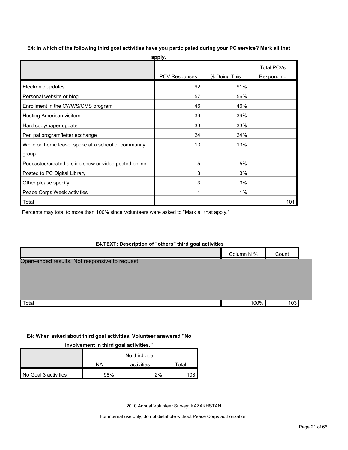| apply.                                                |               |              |                                 |  |  |  |
|-------------------------------------------------------|---------------|--------------|---------------------------------|--|--|--|
|                                                       | PCV Responses | % Doing This | <b>Total PCVs</b><br>Responding |  |  |  |
| Electronic updates                                    | 92            | 91%          |                                 |  |  |  |
| Personal website or blog                              | 57            | 56%          |                                 |  |  |  |
| Enrollment in the CWWS/CMS program                    | 46            | 46%          |                                 |  |  |  |
| <b>Hosting American visitors</b>                      | 39            | 39%          |                                 |  |  |  |
| Hard copy/paper update                                | 33            | 33%          |                                 |  |  |  |
| Pen pal program/letter exchange                       | 24            | 24%          |                                 |  |  |  |
| While on home leave, spoke at a school or community   | 13            | 13%          |                                 |  |  |  |
| group                                                 |               |              |                                 |  |  |  |
| Podcasted/created a slide show or video posted online | 5             | 5%           |                                 |  |  |  |
| Posted to PC Digital Library                          | 3             | 3%           |                                 |  |  |  |
| Other please specify                                  | 3             | 3%           |                                 |  |  |  |
| Peace Corps Week activities                           | 1             | 1%           |                                 |  |  |  |
| Total                                                 |               |              | 101                             |  |  |  |

Percents may total to more than 100% since Volunteers were asked to "Mark all that apply."

## **E4.TEXT: Description of "others" third goal activities**

|                                                | Column N % | Count |  |
|------------------------------------------------|------------|-------|--|
| Open-ended results. Not responsive to request. |            |       |  |
|                                                |            |       |  |
|                                                |            |       |  |
|                                                |            |       |  |
| Total                                          | 100%       | 103   |  |

#### **E4: When asked about third goal activities, Volunteer answered "No**

#### **involvement in third goal activities."**

|                      |     | No third goal |       |
|----------------------|-----|---------------|-------|
|                      | NA  | activities    | ™otal |
| No Goal 3 activities | 98% | 2%            | 103   |

2010 Annual Volunteer Survey: KAZAKHSTAN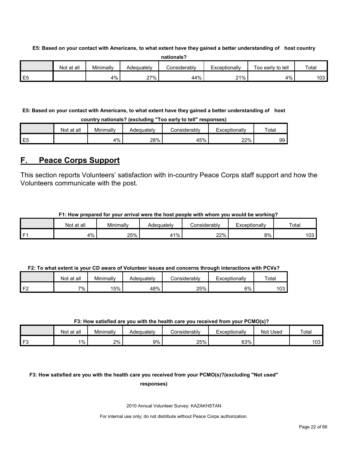**E5: Based on your contact with Americans, to what extent have they gained a better understanding of host country** 

| nationals?     |            |           |            |              |               |                   |       |  |  |
|----------------|------------|-----------|------------|--------------|---------------|-------------------|-------|--|--|
|                | Not at all | Minimally | Adequatelv | Considerablv | Exceptionally | Too early to tell | Total |  |  |
| E <sub>5</sub> |            | 4%        | 27%        | 44%          | 21%           | 4%                | 103   |  |  |

**E5: Based on your contact with Americans, to what extent have they gained a better understanding of host country nationals? (excluding "Too early to tell" responses)**

|                | Not at all | Minimally | Adequatelv | ≿onsiderablv | Exceptionallv | $\tau$ ota |
|----------------|------------|-----------|------------|--------------|---------------|------------|
| E <sub>5</sub> |            | 4%        | 28%        | 45%          | 22%           | 99         |

## <span id="page-21-0"></span>**F. Peace Corps Support**

This section reports Volunteers' satisfaction with in-country Peace Corps staff support and how the Volunteers communicate with the post.

| F1: How prepared for your arrival were the host people with whom you would be working? |
|----------------------------------------------------------------------------------------|
|----------------------------------------------------------------------------------------|

| Not at all | Minimally | Adequatelv | . .<br>ا onsiderabl∨ | Exceptionally | Total |
|------------|-----------|------------|----------------------|---------------|-------|
| 4%         | 25%       | $1\%$      | 22%                  | 8%            | 103   |

|    | Not at all | Minimally | Adequately | Considerably | Exceptionally | Total |
|----|------------|-----------|------------|--------------|---------------|-------|
| 口り | 7%         | 15%       | 48%        | 25%          | 6%            | 103   |

### **F3: How satisfied are you with the health care you received from your PCMO(s)?**

|                | Not at all | Minimally | Adequatelv | <b>Considerably</b> | Exceptionally | Not Used | Total            |
|----------------|------------|-----------|------------|---------------------|---------------|----------|------------------|
| F <sub>3</sub> | $1\%$      | 2%        | 9% l       | 25%                 | 63%           |          | 103 <sub>l</sub> |

## **F3: How satisfied are you with the health care you received from your PCMO(s)?(excluding "Not used" responses)**

2010 Annual Volunteer Survey: KAZAKHSTAN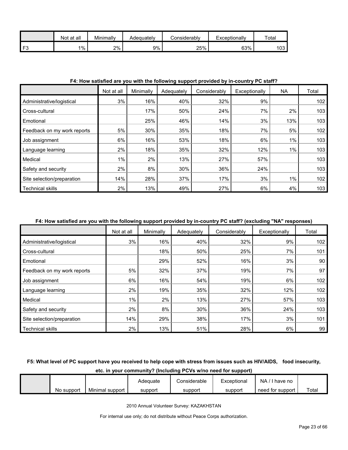|                | all<br>Not at | Minimally | Adequatelv | <b>Considerably</b> | Exceptionally | $\tau$ <sub>ota</sub> |
|----------------|---------------|-----------|------------|---------------------|---------------|-----------------------|
| F <sub>3</sub> | $1\%$         | 2%        | 9%         | 25%                 | 63%           | 103                   |

#### **F4: How satisfied are you with the following support provided by in-country PC staff?**

|                             | Not at all | Minimally | Adequately | Considerably | Exceptionally | ΝA    | Total            |
|-----------------------------|------------|-----------|------------|--------------|---------------|-------|------------------|
| Administrative/logistical   | 3%         | 16%       | 40%        | 32%          | 9%            |       | 102              |
| Cross-cultural              |            | 17%       | 50%        | 24%          | 7%            | 2%    | 103              |
| Emotional                   |            | 25%       | 46%        | 14%          | 3%            | 13%   | 103              |
| Feedback on my work reports | 5%         | 30%       | 35%        | 18%          | 7%            | 5%    | 102              |
| Job assignment              | 6%         | 16%       | 53%        | 18%          | 6%            | $1\%$ | 103              |
| Language learning           | 2%         | 18%       | 35%        | 32%          | 12%           | $1\%$ | 103              |
| Medical                     | $1\%$      | 2%        | 13%        | 27%          | 57%           |       | 103              |
| Safety and security         | 2%         | 8%        | 30%        | 36%          | 24%           |       | 103              |
| Site selection/preparation  | 14%        | 28%       | 37%        | 17%          | 3%            | 1%    | 102 <sub>2</sub> |
| <b>Technical skills</b>     | 2%         | 13%       | 49%        | 27%          | 6%            | 4%    | 103              |

### **F4: How satisfied are you with the following support provided by in-country PC staff? (excluding "NA" responses)**

|                             | Not at all | Minimally | Adequately | Considerably | Exceptionally | Total |
|-----------------------------|------------|-----------|------------|--------------|---------------|-------|
| Administrative/logistical   | 3%         | 16%       | 40%        | 32%          | 9%            | 102   |
| Cross-cultural              |            | 18%       | 50%        | 25%          | 7%            | 101   |
| Emotional                   |            | 29%       | 52%        | 16%          | 3%            | 90    |
| Feedback on my work reports | 5%         | 32%       | 37%        | 19%          | 7%            | 97    |
| Job assignment              | 6%         | 16%       | 54%        | 19%          | 6%            | 102   |
| Language learning           | 2%         | 19%       | 35%        | 32%          | 12%           | 102   |
| Medical                     | 1%         | 2%        | 13%        | 27%          | 57%           | 103   |
| Safety and security         | 2%         | 8%        | 30%        | 36%          | 24%           | 103   |
| Site selection/preparation  | 14%        | 29%       | 38%        | 17%          | 3%            | 101   |
| <b>Technical skills</b>     | 2%         | 13%       | 51%        | 28%          | 6%            | 99    |

## **F5: What level of PC support have you received to help cope with stress from issues such as HIV/AIDS, food insecurity,**

| etc. in your community? (Including PCVs w/no need for support) |                 |          |              |             |                  |       |  |  |  |
|----------------------------------------------------------------|-----------------|----------|--------------|-------------|------------------|-------|--|--|--|
|                                                                |                 | Adequate | Considerable | Exceptional | NA/I have no     |       |  |  |  |
| No support                                                     | Minimal support | support  | support      | support     | need for support | Total |  |  |  |

2010 Annual Volunteer Survey: KAZAKHSTAN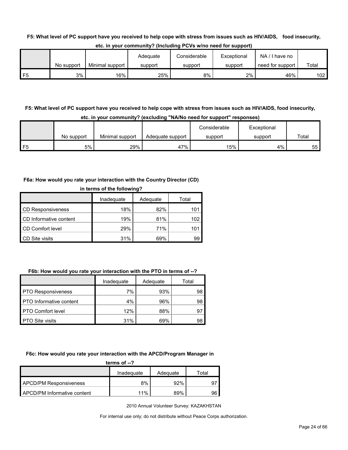#### **F5: What level of PC support have you received to help cope with stress from issues such as HIV/AIDS, food insecurity,**

|                |            |                 | Adeauate | Considerable | Exceptional | $NA / I$ have no |       |
|----------------|------------|-----------------|----------|--------------|-------------|------------------|-------|
|                | No support | Minimal support | support  | support      | support     | need for support | Total |
| F <sub>5</sub> | 3%         | 16%             | 25%      | 8%           | 2%          | 46%              | 102   |

**etc. in your community? (Including PCVs w/no need for support)**

## **F5: What level of PC support have you received to help cope with stress from issues such as HIV/AIDS, food insecurity, etc. in your community? (excluding "NA/No need for support" responses)**

|    |            |                 |                  | Considerable | Exceptional |       |
|----|------------|-----------------|------------------|--------------|-------------|-------|
|    | No support | Minimal support | Adequate support | support      | support     | Total |
| E5 | 5%         | 29%             | 47%              | 15%          | 4%          | 55    |

#### **F6a: How would you rate your interaction with the Country Director (CD)**

| in terms of the following? |            |          |       |
|----------------------------|------------|----------|-------|
|                            | Inadequate | Adequate | Total |
| <b>CD Responsiveness</b>   | 18%        | 82%      | 101   |
| CD Informative content     | 19%        | 81%      | 102   |
| CD Comfort level           | 29%        | 71%      | 101   |
| CD Site visits             | 31%        | 69%      | 99    |

#### **F6b: How would you rate your interaction with the PTO in terms of --?**

|                                | Inadequate | Adequate | Total |
|--------------------------------|------------|----------|-------|
| <b>PTO Responsiveness</b>      | 7%         | 93%      | 98    |
| <b>PTO</b> Informative content | 4%         | 96%      | 98    |
| <b>PTO Comfort level</b>       | 12%        | 88%      | 97    |
| <b>PTO Site visits</b>         | 31%        | 69%      | 98    |

#### **F6c: How would you rate your interaction with the APCD/Program Manager in**

| terms of $-2$                      |            |          |       |  |
|------------------------------------|------------|----------|-------|--|
|                                    | Inadequate | Adequate | Total |  |
| <b>APCD/PM Responsiveness</b>      | 8%         | 92%      |       |  |
| <b>APCD/PM Informative content</b> | 11%        | 89%      | 96    |  |

2010 Annual Volunteer Survey: KAZAKHSTAN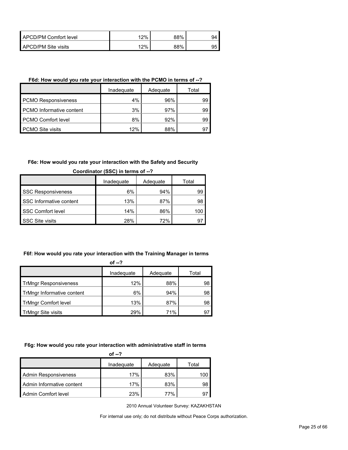| APCD/PM Comfort level | 12% | 88% | 94 |
|-----------------------|-----|-----|----|
| APCD/PM Site visits   | 12% | 88% | 95 |

#### **F6d: How would you rate your interaction with the PCMO in terms of --?**

|                            | Inadeguate | Adequate | Total |
|----------------------------|------------|----------|-------|
| <b>PCMO Responsiveness</b> | $4\%$      | 96%      | 99    |
| PCMO Informative content   | 3%         | 97%      | 99    |
| <b>PCMO Comfort level</b>  | 8%         | 92%      | 99    |
| <b>PCMO Site visits</b>    | 12%        | 88%      | 97    |

### **F6e: How would you rate your interaction with the Safety and Security**

|                           | Inadequate | Adequate | Total |
|---------------------------|------------|----------|-------|
| <b>SSC Responsiveness</b> | 6%         | 94%      | 99    |
| SSC Informative content   | 13%        | 87%      | 98    |
| <b>SSC Comfort level</b>  | 14%        | 86%      | 100   |
| <b>SSC Site visits</b>    | 28%        | 72%      | 9.    |

## **Coordinator (SSC) in terms of --?**

## **F6f: How would you rate your interaction with the Training Manager in terms**

| ï<br>×<br>v |  |
|-------------|--|
|-------------|--|

|                              | Inadequate | Adequate | Total |
|------------------------------|------------|----------|-------|
| <b>TrMngr Responsiveness</b> | 12%        | 88%      | 98    |
| TrMngr Informative content   | 6%         | 94%      | 98    |
| <b>TrMngr Comfort level</b>  | 13%        | 87%      | 98    |
| <b>TrMngr Site visits</b>    | 29%        | 71%      | 97    |

## **F6g: How would you rate your interaction with administrative staff in terms**

| of $-2$                     |            |          |       |  |
|-----------------------------|------------|----------|-------|--|
|                             | Inadequate | Adequate | Total |  |
| <b>Admin Responsiveness</b> | 17%        | 83%      | 100   |  |
| Admin Informative content   | 17%        | 83%      | 98    |  |
| Admin Comfort level         | 23%        | 77%      | 97    |  |

2010 Annual Volunteer Survey: KAZAKHSTAN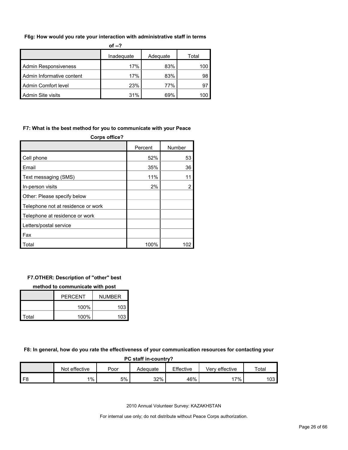#### **F6g: How would you rate your interaction with administrative staff in terms**

| of $-2$                   |            |          |       |
|---------------------------|------------|----------|-------|
|                           | Inadeguate | Adequate | Total |
| Admin Responsiveness      | 17%        | 83%      | 100   |
| Admin Informative content | 17%        | 83%      | 98    |
| Admin Comfort level       | 23%        | 77%      | 97    |
| <b>Admin Site visits</b>  | 31%        | 69%      | 100   |

### **F7: What is the best method for you to communicate with your Peace**

| <b>Corps office?</b>               |         |                |  |
|------------------------------------|---------|----------------|--|
|                                    | Percent | Number         |  |
| Cell phone                         | 52%     | 53             |  |
| Email                              | 35%     | 36             |  |
| Text messaging (SMS)               | 11%     | 11             |  |
| In-person visits                   | 2%      | $\overline{2}$ |  |
| Other: Please specify below        |         |                |  |
| Telephone not at residence or work |         |                |  |
| Telephone at residence or work     |         |                |  |
| Letters/postal service             |         |                |  |
| Fax                                |         |                |  |
| Total                              | 100%    |                |  |

## **F7.OTHER: Description of "other" best**

#### **method to communicate with post**

|       | PFRCFNT | <b>NUMBER</b> |
|-------|---------|---------------|
|       | 100%    | 103           |
| Total | 100%    | 103           |

**F8: In general, how do you rate the effectiveness of your communication resources for contacting your** 

| PC staff in-country? |               |      |          |           |                |       |  |
|----------------------|---------------|------|----------|-----------|----------------|-------|--|
|                      | Not effective | Poor | Adeauate | Effective | Verv effective | Total |  |
|                      | $1\%$         | 5%   | 32%      | 46%       | 17%            | 103   |  |

2010 Annual Volunteer Survey: KAZAKHSTAN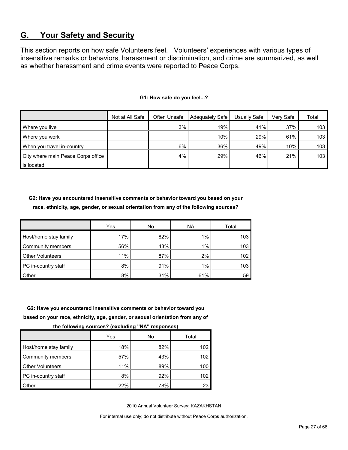## <span id="page-26-0"></span>**G. Your Safety and Security**

This section reports on how safe Volunteers feel. Volunteers' experiences with various types of insensitive remarks or behaviors, harassment or discrimination, and crime are summarized, as well as whether harassment and crime events were reported to Peace Corps.

|                                    | Not at All Safe | Often Unsafe | Adequately Safe | Usually Safe | Verv Safe | Total            |
|------------------------------------|-----------------|--------------|-----------------|--------------|-----------|------------------|
| Where you live                     |                 | 3%           | 19%             | 41%          | 37%       | 103 <sub>l</sub> |
| Where you work                     |                 |              | 10%             | 29%          | 61%       | 103              |
| When you travel in-country         |                 | 6%           | 36%             | 49%          | 10%       | 103              |
| City where main Peace Corps office |                 | 4%           | 29%             | 46%          | 21%       | 103              |
| is located                         |                 |              |                 |              |           |                  |

#### **G1: How safe do you feel...?**

**G2: Have you encountered insensitive comments or behavior toward you based on your race, ethnicity, age, gender, or sexual orientation from any of the following sources?**

|                         | Yes | No  | <b>NA</b> | Total |
|-------------------------|-----|-----|-----------|-------|
| Host/home stay family   | 17% | 82% | 1%        | 103   |
| Community members       | 56% | 43% | $1\%$     | 103   |
| <b>Other Volunteers</b> | 11% | 87% | 2%        | 102   |
| PC in-country staff     | 8%  | 91% | 1%        | 103   |
| <b>Other</b>            | 8%  | 31% | 61%       | 59    |

**G2: Have you encountered insensitive comments or behavior toward you** 

**based on your race, ethnicity, age, gender, or sexual orientation from any of** 

**the following sources? (excluding "NA" responses)**

|                         | Yes | No  | Total |
|-------------------------|-----|-----|-------|
| Host/home stay family   | 18% | 82% | 102   |
| Community members       | 57% | 43% | 102   |
| <b>Other Volunteers</b> | 11% | 89% | 100   |
| PC in-country staff     | 8%  | 92% | 102   |
| Other                   | 22% | 78% | 23    |

2010 Annual Volunteer Survey: KAZAKHSTAN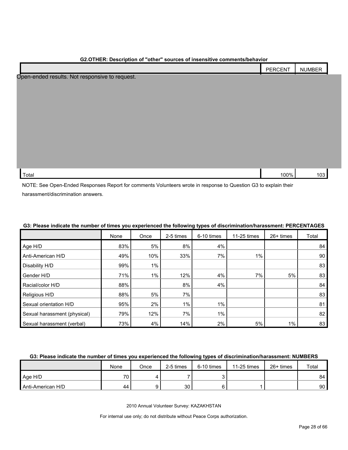| GZ.OTHER: Description of Other Sources of Insensitive comments/denavior |         |               |  |
|-------------------------------------------------------------------------|---------|---------------|--|
|                                                                         | PERCENT | <b>NUMBER</b> |  |
| Open-ended results. Not responsive to request.                          |         |               |  |
|                                                                         |         |               |  |
|                                                                         |         |               |  |
|                                                                         |         |               |  |
|                                                                         |         |               |  |
|                                                                         |         |               |  |
|                                                                         |         |               |  |
|                                                                         |         |               |  |
|                                                                         |         |               |  |
| Total                                                                   | 100%    | 103           |  |
|                                                                         |         |               |  |

## **G2.OTHER: Description of "other" sources of insensitive comments/behavior**

NOTE: See Open-Ended Responses Report for comments Volunteers wrote in response to Question G3 to explain their harassment/discrimination answers.

|                              | None | Once  | 2-5 times | 6-10 times | 11-25 times | 26+ times | Total |
|------------------------------|------|-------|-----------|------------|-------------|-----------|-------|
| Age H/D                      | 83%  | 5%    | 8%        | 4%         |             |           | 84    |
| Anti-American H/D            | 49%  | 10%   | 33%       | 7%         | $1\%$       |           | 90    |
| Disability H/D               | 99%  | $1\%$ |           |            |             |           | 83    |
| Gender H/D                   | 71%  | 1%    | 12%       | 4%         | 7%          | 5%        | 83    |
| Racial/color H/D             | 88%  |       | 8%        | 4%         |             |           | 84    |
| Religious H/D                | 88%  | 5%    | 7%        |            |             |           | 83    |
| Sexual orientation H/D       | 95%  | 2%    | $1\%$     | 1%         |             |           | 81    |
| Sexual harassment (physical) | 79%  | 12%   | 7%        | $1\%$      |             |           | 82    |
| Sexual harassment (verbal)   | 73%  | 4%    | 14%       | 2%         | 5%          | $1\%$     | 83    |

## **G3: Please indicate the number of times you experienced the following types of discrimination/harassment: PERCENTAGES**

#### **G3: Please indicate the number of times you experienced the following types of discrimination/harassment: NUMBERS**

|                   | None            | Once | 2-5 times | 6-10 times | 11-25 times | $26+$ times | Total |
|-------------------|-----------------|------|-----------|------------|-------------|-------------|-------|
| Age H/D           | 70 <sub>1</sub> |      |           |            |             |             | 84    |
| Anti-American H/D | 44              |      | 30        |            |             |             | 90    |

2010 Annual Volunteer Survey: KAZAKHSTAN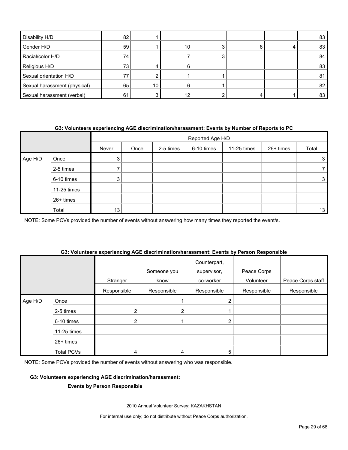| Disability H/D               | 82  |    |                 |   | 83 |
|------------------------------|-----|----|-----------------|---|----|
| Gender H/D                   | 59  |    | 10 <sub>1</sub> | h | 83 |
| Racial/color H/D             | 74. |    |                 |   | 84 |
| Religious H/D                | 73  |    | h               |   | 83 |
| Sexual orientation H/D       |     |    |                 |   | 81 |
| Sexual harassment (physical) | 65  | 10 |                 |   | 82 |
| Sexual harassment (verbal)   | 61  |    | 12              |   | 83 |

#### **G3: Volunteers experiencing AGE discrimination/harassment: Events by Number of Reports to PC**

|         |             |       | Reported Age H/D |           |            |             |           |       |
|---------|-------------|-------|------------------|-----------|------------|-------------|-----------|-------|
|         |             | Never | Once             | 2-5 times | 6-10 times | 11-25 times | 26+ times | Total |
| Age H/D | Once        | 3     |                  |           |            |             |           | 3     |
|         | 2-5 times   |       |                  |           |            |             |           |       |
|         | 6-10 times  | 3     |                  |           |            |             |           | 3     |
|         | 11-25 times |       |                  |           |            |             |           |       |
|         | 26+ times   |       |                  |           |            |             |           |       |
|         | Total       | 13    |                  |           |            |             |           | 13    |

NOTE: Some PCVs provided the number of events without answering how many times they reported the event/s.

#### **G3: Volunteers experiencing AGE discrimination/harassment: Events by Person Responsible**

|         |                   | Stranger    | Someone you<br>know | Counterpart,<br>supervisor,<br>co-worker | Peace Corps<br>Volunteer | Peace Corps staff |
|---------|-------------------|-------------|---------------------|------------------------------------------|--------------------------|-------------------|
|         |                   | Responsible | Responsible         | Responsible                              | Responsible              | Responsible       |
| Age H/D | Once              |             |                     |                                          |                          |                   |
|         | 2-5 times         | 2           | ◠                   |                                          |                          |                   |
|         | 6-10 times        | 2           |                     | າ                                        |                          |                   |
|         | 11-25 times       |             |                     |                                          |                          |                   |
|         | $26+$ times       |             |                     |                                          |                          |                   |
|         | <b>Total PCVs</b> | 4           | 4                   | 5                                        |                          |                   |

NOTE: Some PCVs provided the number of events without answering who was responsible.

#### **G3: Volunteers experiencing AGE discrimination/harassment:**

#### **Events by Person Responsible**

2010 Annual Volunteer Survey: KAZAKHSTAN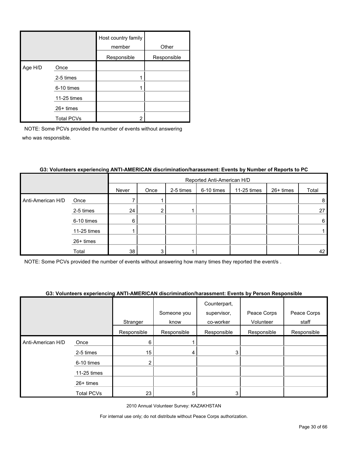|         |                   | Host country family<br>member | Other       |
|---------|-------------------|-------------------------------|-------------|
|         |                   | Responsible                   | Responsible |
| Age H/D | Once              |                               |             |
|         | 2-5 times         |                               |             |
|         | 6-10 times        |                               |             |
|         | 11-25 times       |                               |             |
|         | $26+$ times       |                               |             |
|         | <b>Total PCVs</b> | າ                             |             |

|                   |             |       | Reported Anti-American H/D |           |            |             |           |       |  |
|-------------------|-------------|-------|----------------------------|-----------|------------|-------------|-----------|-------|--|
|                   |             | Never | Once                       | 2-5 times | 6-10 times | 11-25 times | 26+ times | Total |  |
| Anti-American H/D | Once        |       |                            |           |            |             |           | 8     |  |
|                   | 2-5 times   | 24    | 2                          |           |            |             |           | 27    |  |
|                   | 6-10 times  | 6     |                            |           |            |             |           | 6     |  |
|                   | 11-25 times |       |                            |           |            |             |           |       |  |
|                   | 26+ times   |       |                            |           |            |             |           |       |  |
|                   | Total       | 38    | 3                          |           |            |             |           | 42    |  |

## **G3: Volunteers experiencing ANTI-AMERICAN discrimination/harassment: Events by Number of Reports to PC**

NOTE: Some PCVs provided the number of events without answering how many times they reported the event/s .

## **G3: Volunteers experiencing ANTI-AMERICAN discrimination/harassment: Events by Person Responsible**

|                   |                   |             |             | Counterpart, |             |             |
|-------------------|-------------------|-------------|-------------|--------------|-------------|-------------|
|                   |                   |             | Someone you | supervisor,  | Peace Corps | Peace Corps |
|                   |                   | Stranger    | know        | co-worker    | Volunteer   | staff       |
|                   |                   | Responsible | Responsible | Responsible  | Responsible | Responsible |
| Anti-American H/D | Once              | 6           |             |              |             |             |
|                   | 2-5 times         | 15          | 4           | 3            |             |             |
|                   | 6-10 times        | 2           |             |              |             |             |
|                   | 11-25 times       |             |             |              |             |             |
|                   | 26+ times         |             |             |              |             |             |
|                   | <b>Total PCVs</b> | 23          | 5           | 3            |             |             |

2010 Annual Volunteer Survey: KAZAKHSTAN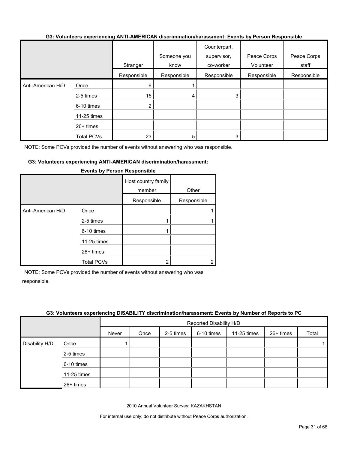#### **G3: Volunteers experiencing ANTI-AMERICAN discrimination/harassment: Events by Person Responsible**

|                   |                   |                | Someone you | Counterpart,<br>supervisor, | Peace Corps | Peace Corps |
|-------------------|-------------------|----------------|-------------|-----------------------------|-------------|-------------|
|                   |                   | Stranger       | know        | co-worker                   | Volunteer   | staff       |
|                   |                   | Responsible    | Responsible | Responsible                 | Responsible | Responsible |
| Anti-American H/D | Once              | 6              |             |                             |             |             |
|                   | 2-5 times         | 15             | 4           |                             |             |             |
|                   | 6-10 times        | $\overline{2}$ |             |                             |             |             |
|                   | 11-25 times       |                |             |                             |             |             |
|                   | $26+$ times       |                |             |                             |             |             |
|                   | <b>Total PCVs</b> | 23             | 5           |                             |             |             |

NOTE: Some PCVs provided the number of events without answering who was responsible.

#### **G3: Volunteers experiencing ANTI-AMERICAN discrimination/harassment:**

|                   |                   | Host country family<br>member<br>Responsible | Other<br>Responsible |
|-------------------|-------------------|----------------------------------------------|----------------------|
| Anti-American H/D | Once              |                                              |                      |
|                   | 2-5 times         |                                              |                      |
|                   | 6-10 times        |                                              |                      |
|                   | 11-25 times       |                                              |                      |
|                   | $26+$ times       |                                              |                      |
|                   | <b>Total PCVs</b> | 2                                            |                      |

#### **Events by Person Responsible**

NOTE: Some PCVs provided the number of events without answering who was responsible.

#### **G3: Volunteers experiencing DISABILITY discrimination/harassment: Events by Number of Reports to PC**

|                |             |       | Reported Disability H/D |           |            |             |           |       |
|----------------|-------------|-------|-------------------------|-----------|------------|-------------|-----------|-------|
|                |             | Never | Once                    | 2-5 times | 6-10 times | 11-25 times | 26+ times | Total |
| Disability H/D | Once        |       |                         |           |            |             |           |       |
|                | 2-5 times   |       |                         |           |            |             |           |       |
|                | 6-10 times  |       |                         |           |            |             |           |       |
|                | 11-25 times |       |                         |           |            |             |           |       |
|                | 26+ times   |       |                         |           |            |             |           |       |

2010 Annual Volunteer Survey: KAZAKHSTAN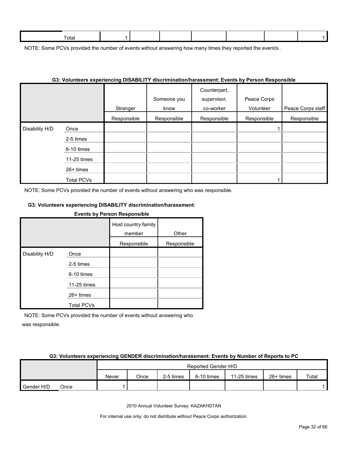| otal |  |  |  |  |
|------|--|--|--|--|
|      |  |  |  |  |

NOTE: Some PCVs provided the number of events without answering how many times they reported the event/s.

|                |             |             | G3: Volunteers experiencing DISABILITY discrimination/narassment: Events by Person Responsible |                             |             |                   |
|----------------|-------------|-------------|------------------------------------------------------------------------------------------------|-----------------------------|-------------|-------------------|
|                |             |             | Someone you                                                                                    | Counterpart,<br>supervisor, | Peace Corps |                   |
|                |             | Stranger    | know                                                                                           | co-worker                   | Volunteer   | Peace Corps staff |
|                |             | Responsible | Responsible                                                                                    | Responsible                 | Responsible | Responsible       |
| Disability H/D | Once        |             |                                                                                                |                             |             |                   |
|                | 2-5 times   |             |                                                                                                |                             |             |                   |
|                | 6-10 times  |             |                                                                                                |                             |             |                   |
|                | 11-25 times |             |                                                                                                |                             |             |                   |
|                | 26+ times   |             |                                                                                                |                             |             |                   |
|                | Total PCVs  |             |                                                                                                |                             |             |                   |

#### **G3: Volunteers experiencing DISABILITY discrimination/harassment: Events by Person Responsible**

NOTE: Some PCVs provided the number of events without answering who was responsible.

#### **G3: Volunteers experiencing DISABILITY discrimination/harassment:**

## **Events by Person Responsible** Host country family member Other Responsible Responsible Disability H/D Once 2-5 times 6-10 times 11-25 times 26+ times Total PCVs

NOTE: Some PCVs provided the number of events without answering who was responsible.

#### **G3: Volunteers experiencing GENDER discrimination/harassment: Events by Number of Reports to PC**

|            |      |       |      |           | Reported Gender H/D |             |             |       |
|------------|------|-------|------|-----------|---------------------|-------------|-------------|-------|
|            |      | Never | Once | 2-5 times | 6-10 times          | 11-25 times | $26+$ times | Total |
| Gender H/D | Once |       |      |           |                     |             |             |       |

2010 Annual Volunteer Survey: KAZAKHSTAN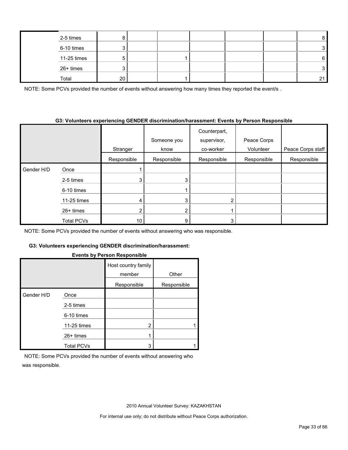| 2-5 times   |    |  |  |    |
|-------------|----|--|--|----|
| 6-10 times  |    |  |  |    |
| 11-25 times |    |  |  | 6  |
| 26+ times   |    |  |  |    |
| Total       | 20 |  |  | 21 |

NOTE: Some PCVs provided the number of events without answering how many times they reported the event/s.

#### **G3: Volunteers experiencing GENDER discrimination/harassment: Events by Person Responsible**

|            |             |             | Someone you | Counterpart,<br>supervisor, | Peace Corps |                   |
|------------|-------------|-------------|-------------|-----------------------------|-------------|-------------------|
|            |             | Stranger    | know        | co-worker                   | Volunteer   | Peace Corps staff |
|            |             | Responsible | Responsible | Responsible                 | Responsible | Responsible       |
| Gender H/D | Once        |             |             |                             |             |                   |
|            | 2-5 times   | 3           | 3           |                             |             |                   |
|            | 6-10 times  |             |             |                             |             |                   |
|            | 11-25 times | 4           | 3           | $\overline{2}$              |             |                   |
|            | $26+$ times |             | 2           |                             |             |                   |
|            | Total PCVs  | 10          | 9           | 3                           |             |                   |

NOTE: Some PCVs provided the number of events without answering who was responsible.

## **G3: Volunteers experiencing GENDER discrimination/harassment:**

## **Events by Person Responsible**

|            |                   | --------                      |             |
|------------|-------------------|-------------------------------|-------------|
|            |                   | Host country family<br>member | Other       |
|            |                   | Responsible                   | Responsible |
| Gender H/D | Once              |                               |             |
|            | 2-5 times         |                               |             |
|            | 6-10 times        |                               |             |
|            | 11-25 times       | 2                             |             |
|            | $26+$ times       |                               |             |
|            | <b>Total PCVs</b> | 3                             |             |

NOTE: Some PCVs provided the number of events without answering who was responsible.

2010 Annual Volunteer Survey: KAZAKHSTAN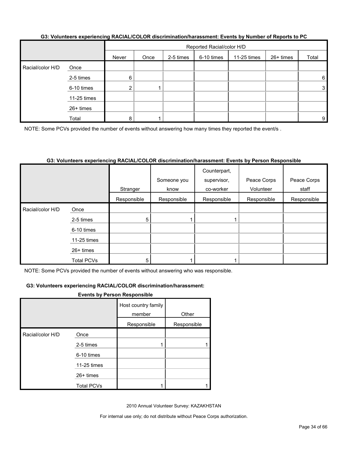| G3: Volunteers experiencing RACIAL/COLOR discrimination/harassment: Events by Number of Reports to PC |  |
|-------------------------------------------------------------------------------------------------------|--|
|                                                                                                       |  |

|                  |             |       | Reported Racial/color H/D |           |            |             |           |       |  |
|------------------|-------------|-------|---------------------------|-----------|------------|-------------|-----------|-------|--|
|                  |             | Never | Once                      | 2-5 times | 6-10 times | 11-25 times | 26+ times | Total |  |
| Racial/color H/D | Once        |       |                           |           |            |             |           |       |  |
|                  | 2-5 times   | 6     |                           |           |            |             |           | 6     |  |
|                  | 6-10 times  |       |                           |           |            |             |           | 3     |  |
|                  | 11-25 times |       |                           |           |            |             |           |       |  |
|                  | 26+ times   |       |                           |           |            |             |           |       |  |
|                  | Total       | 8     |                           |           |            |             |           | 9     |  |

NOTE: Some PCVs provided the number of events without answering how many times they reported the event/s .

## **G3: Volunteers experiencing RACIAL/COLOR discrimination/harassment: Events by Person Responsible**

|                  |             |             | Someone you | Counterpart,<br>supervisor, | Peace Corps | Peace Corps |
|------------------|-------------|-------------|-------------|-----------------------------|-------------|-------------|
|                  |             | Stranger    | know        | co-worker                   | Volunteer   | staff       |
|                  |             | Responsible | Responsible | Responsible                 | Responsible | Responsible |
| Racial/color H/D | Once        |             |             |                             |             |             |
|                  | 2-5 times   | 5           |             |                             |             |             |
|                  | 6-10 times  |             |             |                             |             |             |
|                  | 11-25 times |             |             |                             |             |             |
|                  | $26+$ times |             |             |                             |             |             |
|                  | Total PCVs  | 5           |             |                             |             |             |

NOTE: Some PCVs provided the number of events without answering who was responsible.

#### **G3: Volunteers experiencing RACIAL/COLOR discrimination/harassment:**

#### **Events by Person Responsible**

|                  |                   | Host country family<br>member | Other       |
|------------------|-------------------|-------------------------------|-------------|
|                  |                   | Responsible                   | Responsible |
| Racial/color H/D | Once              |                               |             |
|                  | 2-5 times         |                               |             |
|                  | 6-10 times        |                               |             |
|                  | 11-25 times       |                               |             |
|                  | $26+$ times       |                               |             |
|                  | <b>Total PCVs</b> |                               |             |

2010 Annual Volunteer Survey: KAZAKHSTAN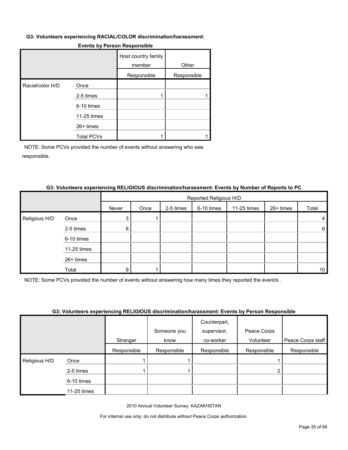#### **G3: Volunteers experiencing RACIAL/COLOR discrimination/harassment:**

|                  |                   | Host country family<br>member | Other       |
|------------------|-------------------|-------------------------------|-------------|
|                  |                   | Responsible                   | Responsible |
| Racial/color H/D | Once              |                               |             |
|                  | 2-5 times         |                               |             |
|                  | 6-10 times        |                               |             |
|                  | 11-25 times       |                               |             |
|                  | $26+$ times       |                               |             |
|                  | <b>Total PCVs</b> |                               |             |

#### **Events by Person Responsible**

NOTE: Some PCVs provided the number of events without answering who was responsible.

#### **G3: Volunteers experiencing RELIGIOUS discrimination/harassment: Events by Number of Reports to PC**

|               |             |       | Reported Religious H/D |           |            |             |           |                 |  |  |
|---------------|-------------|-------|------------------------|-----------|------------|-------------|-----------|-----------------|--|--|
|               |             | Never | Once                   | 2-5 times | 6-10 times | 11-25 times | 26+ times | Total           |  |  |
| Religious H/D | Once        | 3     |                        |           |            |             |           | 4               |  |  |
|               | 2-5 times   | 6     |                        |           |            |             |           | 6               |  |  |
|               | 6-10 times  |       |                        |           |            |             |           |                 |  |  |
|               | 11-25 times |       |                        |           |            |             |           |                 |  |  |
|               | 26+ times   |       |                        |           |            |             |           |                 |  |  |
|               | Total       | 9     |                        |           |            |             |           | 10 <sup>°</sup> |  |  |

NOTE: Some PCVs provided the number of events without answering how many times they reported the event/s .

#### **G3: Volunteers experiencing RELIGIOUS discrimination/harassment: Events by Person Responsible**

|                    |             |             | Someone you | Counterpart,<br>supervisor, | Peace Corps |                   |
|--------------------|-------------|-------------|-------------|-----------------------------|-------------|-------------------|
|                    |             | Stranger    | know        | co-worker                   | Volunteer   | Peace Corps staff |
|                    |             | Responsible | Responsible | Responsible                 | Responsible | Responsible       |
| Religious H/D<br>I | Once        |             |             |                             |             |                   |
|                    | 2-5 times   |             |             |                             |             |                   |
|                    | 6-10 times  |             |             |                             |             |                   |
|                    | 11-25 times |             |             |                             |             |                   |

2010 Annual Volunteer Survey: KAZAKHSTAN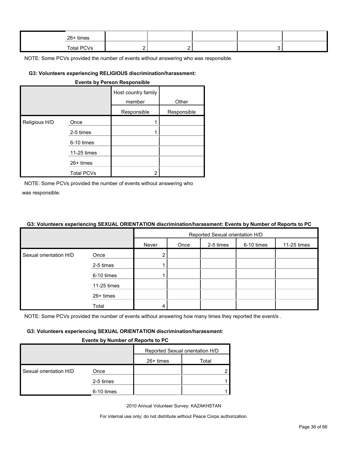| 26+ times  |  |  |  |
|------------|--|--|--|
| Total PCVs |  |  |  |

#### **G3: Volunteers experiencing RELIGIOUS discrimination/harassment:**

| <b>Events by Person Responsible</b> |                   |                               |             |  |  |  |  |
|-------------------------------------|-------------------|-------------------------------|-------------|--|--|--|--|
|                                     |                   | Host country family<br>member | Other       |  |  |  |  |
|                                     |                   | Responsible                   | Responsible |  |  |  |  |
| Religious H/D                       | Once              |                               |             |  |  |  |  |
|                                     | 2-5 times         |                               |             |  |  |  |  |
|                                     | 6-10 times        |                               |             |  |  |  |  |
|                                     | 11-25 times       |                               |             |  |  |  |  |
|                                     | $26+$ times       |                               |             |  |  |  |  |
|                                     | <b>Total PCVs</b> | 2                             |             |  |  |  |  |

NOTE: Some PCVs provided the number of events without answering who was responsible.

#### **G3: Volunteers experiencing SEXUAL ORIENTATION discrimination/harassment: Events by Number of Reports to PC**

|                        |             | Reported Sexual orientation H/D |      |           |            |             |  |  |
|------------------------|-------------|---------------------------------|------|-----------|------------|-------------|--|--|
|                        |             | Never                           | Once | 2-5 times | 6-10 times | 11-25 times |  |  |
| Sexual orientation H/D | Once        | $\mathbf{2}^{\prime}$           |      |           |            |             |  |  |
|                        | 2-5 times   |                                 |      |           |            |             |  |  |
|                        | 6-10 times  |                                 |      |           |            |             |  |  |
|                        | 11-25 times |                                 |      |           |            |             |  |  |
|                        | 26+ times   |                                 |      |           |            |             |  |  |
|                        | Total       |                                 |      |           |            |             |  |  |

NOTE: Some PCVs provided the number of events without answering how many times they reported the event/s.

#### **G3: Volunteers experiencing SEXUAL ORIENTATION discrimination/harassment:**

#### **Events by Number of Reports to PC**

|                        |            | Reported Sexual orientation H/D |       |
|------------------------|------------|---------------------------------|-------|
|                        |            | 26+ times                       | Total |
| Sexual orientation H/D | Once       |                                 |       |
|                        | 2-5 times  |                                 |       |
|                        | 6-10 times |                                 |       |

2010 Annual Volunteer Survey: KAZAKHSTAN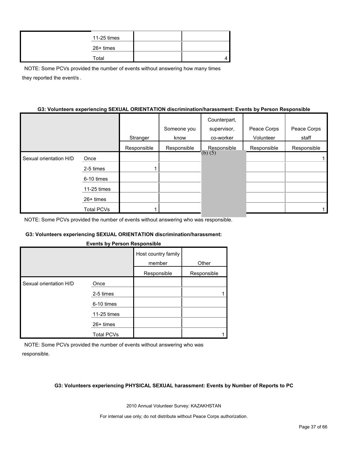| 11-25 times |  |
|-------------|--|
| 26+ times   |  |
| Total       |  |

NOTE: Some PCVs provided the number of events without answering how many times they reported the event/s .

#### **G3: Volunteers experiencing SEXUAL ORIENTATION discrimination/harassment: Events by Person Responsible**

|                        |                   |             |             | Counterpart, |             |             |
|------------------------|-------------------|-------------|-------------|--------------|-------------|-------------|
|                        |                   |             | Someone you | supervisor,  | Peace Corps | Peace Corps |
|                        |                   | Stranger    | know        | co-worker    | Volunteer   | staff       |
|                        |                   | Responsible | Responsible | Responsible  | Responsible | Responsible |
| Sexual orientation H/D | Once              |             |             | $(b)$ $(5)$  |             |             |
|                        | 2-5 times         |             |             |              |             |             |
|                        | 6-10 times        |             |             |              |             |             |
|                        | 11-25 times       |             |             |              |             |             |
|                        | 26+ times         |             |             |              |             |             |
|                        | <b>Total PCVs</b> |             |             |              |             |             |

NOTE: Some PCVs provided the number of events without answering who was responsible.

#### **G3: Volunteers experiencing SEXUAL ORIENTATION discrimination/harassment:**

#### **Events by Person Responsible**

|                        |                   | Host country family<br>member | Other       |
|------------------------|-------------------|-------------------------------|-------------|
|                        |                   | Responsible                   | Responsible |
| Sexual orientation H/D | Once              |                               |             |
|                        | 2-5 times         |                               |             |
|                        | 6-10 times        |                               |             |
|                        | 11-25 times       |                               |             |
|                        | $26+$ times       |                               |             |
|                        | <b>Total PCVs</b> |                               |             |

NOTE: Some PCVs provided the number of events without answering who was responsible.

#### **G3: Volunteers experiencing PHYSICAL SEXUAL harassment: Events by Number of Reports to PC**

2010 Annual Volunteer Survey: KAZAKHSTAN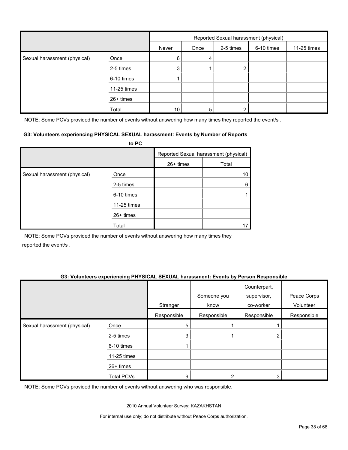|                              |             | Reported Sexual harassment (physical) |      |           |            |             |
|------------------------------|-------------|---------------------------------------|------|-----------|------------|-------------|
|                              |             | Never                                 | Once | 2-5 times | 6-10 times | 11-25 times |
| Sexual harassment (physical) | Once        | 6                                     | 4    |           |            |             |
|                              | 2-5 times   | 3                                     |      | ◠         |            |             |
|                              | 6-10 times  |                                       |      |           |            |             |
|                              | 11-25 times |                                       |      |           |            |             |
|                              | 26+ times   |                                       |      |           |            |             |
|                              | Total       | 10                                    | 5    |           |            |             |

NOTE: Some PCVs provided the number of events without answering how many times they reported the event/s.

#### **G3: Volunteers experiencing PHYSICAL SEXUAL harassment: Events by Number of Reports**

|                              | to PC       |           |                                       |
|------------------------------|-------------|-----------|---------------------------------------|
|                              |             |           | Reported Sexual harassment (physical) |
|                              |             | 26+ times | Total                                 |
| Sexual harassment (physical) | Once        |           | 10                                    |
|                              | 2-5 times   |           | 6                                     |
|                              | 6-10 times  |           |                                       |
|                              | 11-25 times |           |                                       |
|                              | $26+$ times |           |                                       |
|                              | Total       |           |                                       |

NOTE: Some PCVs provided the number of events without answering how many times they reported the event/s .

#### **G3: Volunteers experiencing PHYSICAL SEXUAL harassment: Events by Person Responsible**

|                              |                   | Stranger    | Someone you<br>know | Counterpart,<br>supervisor,<br>co-worker | Peace Corps<br>Volunteer |
|------------------------------|-------------------|-------------|---------------------|------------------------------------------|--------------------------|
|                              |                   | Responsible | Responsible         | Responsible                              | Responsible              |
| Sexual harassment (physical) | Once              | 5           |                     |                                          |                          |
|                              | 2-5 times         | 3           |                     | 2                                        |                          |
|                              | 6-10 times        |             |                     |                                          |                          |
|                              | 11-25 times       |             |                     |                                          |                          |
|                              | 26+ times         |             |                     |                                          |                          |
|                              | <b>Total PCVs</b> | 9           |                     | 3                                        |                          |

NOTE: Some PCVs provided the number of events without answering who was responsible.

2010 Annual Volunteer Survey: KAZAKHSTAN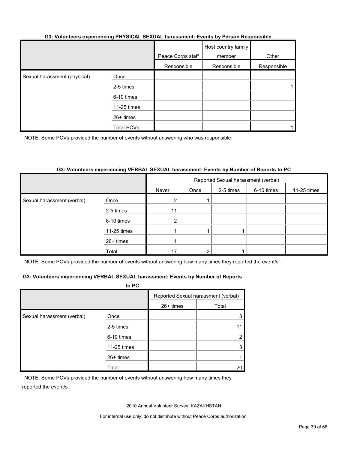#### **G3: Volunteers experiencing PHYSICAL SEXUAL harassment: Events by Person Responsible**

|                              |             | Peace Corps staff | Host country family<br>member | Other       |
|------------------------------|-------------|-------------------|-------------------------------|-------------|
|                              |             | Responsible       | Responsible                   | Responsible |
| Sexual harassment (physical) | Once        |                   |                               |             |
|                              | 2-5 times   |                   |                               |             |
|                              | 6-10 times  |                   |                               |             |
|                              | 11-25 times |                   |                               |             |
|                              | 26+ times   |                   |                               |             |
|                              | Total PCVs  |                   |                               |             |

NOTE: Some PCVs provided the number of events without answering who was responsible.

#### **G3: Volunteers experiencing VERBAL SEXUAL harassment: Events by Number of Reports to PC**

|                            |             | Reported Sexual harassment (verbal) |      |           |            |             |  |
|----------------------------|-------------|-------------------------------------|------|-----------|------------|-------------|--|
|                            |             | Never                               | Once | 2-5 times | 6-10 times | 11-25 times |  |
| Sexual harassment (verbal) | Once        | 2                                   |      |           |            |             |  |
|                            | 2-5 times   | 11                                  |      |           |            |             |  |
|                            | 6-10 times  | 2 <sub>1</sub>                      |      |           |            |             |  |
|                            | 11-25 times |                                     |      |           |            |             |  |
|                            | 26+ times   |                                     |      |           |            |             |  |
|                            | Total       | 17                                  | ົ    |           |            |             |  |

NOTE: Some PCVs provided the number of events without answering how many times they reported the event/s.

#### **G3: Volunteers experiencing VERBAL SEXUAL harassment: Events by Number of Reports**

|                            | to PC       |                                     |       |
|----------------------------|-------------|-------------------------------------|-------|
|                            |             | Reported Sexual harassment (verbal) |       |
|                            |             | 26+ times                           | Total |
| Sexual harassment (verbal) | Once        |                                     |       |
|                            | 2-5 times   |                                     |       |
|                            | 6-10 times  |                                     |       |
|                            | 11-25 times |                                     |       |
|                            | $26+$ times |                                     |       |
|                            | Total       |                                     | 20    |

NOTE: Some PCVs provided the number of events without answering how many times they reported the event/s .

2010 Annual Volunteer Survey: KAZAKHSTAN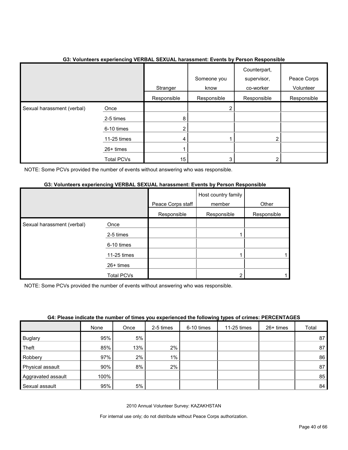|                            | . .<br>$\tilde{\phantom{a}}$ |                | Someone you | . .<br>Counterpart,<br>supervisor, | Peace Corps |
|----------------------------|------------------------------|----------------|-------------|------------------------------------|-------------|
|                            |                              | Stranger       | know        | co-worker                          | Volunteer   |
|                            |                              | Responsible    | Responsible | Responsible                        | Responsible |
| Sexual harassment (verbal) | Once                         |                |             |                                    |             |
|                            | 2-5 times                    | 8              |             |                                    |             |
|                            | 6-10 times                   | $\overline{2}$ |             |                                    |             |
|                            | 11-25 times                  | 4              |             | 2                                  |             |
|                            | $26+$ times                  |                |             |                                    |             |
|                            | <b>Total PCVs</b>            | 15             | 3           | ົ                                  |             |

## **G3: Volunteers experiencing VERBAL SEXUAL harassment: Events by Person Responsible**

NOTE: Some PCVs provided the number of events without answering who was responsible.

## **G3: Volunteers experiencing VERBAL SEXUAL harassment: Events by Person Responsible**

|                            |                   | Peace Corps staff | Host country family<br>member | Other       |
|----------------------------|-------------------|-------------------|-------------------------------|-------------|
|                            |                   | Responsible       | Responsible                   | Responsible |
| Sexual harassment (verbal) | Once              |                   |                               |             |
|                            | 2-5 times         |                   |                               |             |
|                            | 6-10 times        |                   |                               |             |
|                            | 11-25 times       |                   |                               |             |
|                            | 26+ times         |                   |                               |             |
|                            | <b>Total PCVs</b> |                   | 2                             |             |

NOTE: Some PCVs provided the number of events without answering who was responsible.

|  |                | G4: Please indicate the number of times you experienced the following types of crimes: PERCENTAGES |  |
|--|----------------|----------------------------------------------------------------------------------------------------|--|
|  | $\blacksquare$ |                                                                                                    |  |

|                    | None | Once | 2-5 times | 6-10 times | 11-25 times | $26+$ times | Total |
|--------------------|------|------|-----------|------------|-------------|-------------|-------|
| <b>Buglary</b>     | 95%  | 5%   |           |            |             |             | 87    |
| Theft              | 85%  | 13%  | 2%        |            |             |             | 87    |
| Robbery            | 97%  | 2%   | $1\%$     |            |             |             | 86    |
| Physical assault   | 90%  | 8%   | 2%        |            |             |             | 87    |
| Aggravated assault | 100% |      |           |            |             |             | 85    |
| Sexual assault     | 95%  | 5%   |           |            |             |             | 84    |

2010 Annual Volunteer Survey: KAZAKHSTAN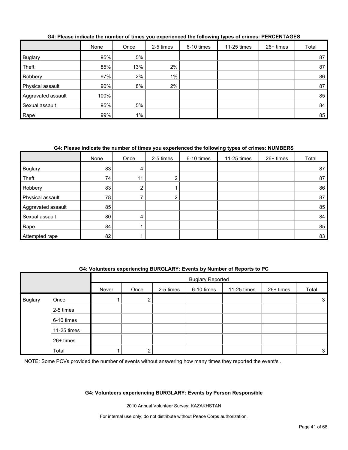|                    | None | Once  | 2-5 times | 6-10 times | 11-25 times | $26+$ times | Total |
|--------------------|------|-------|-----------|------------|-------------|-------------|-------|
| <b>Buglary</b>     | 95%  | 5%    |           |            |             |             | 87    |
| Theft              | 85%  | 13%   | 2%        |            |             |             | 87    |
| Robbery            | 97%  | 2%    | 1%        |            |             |             | 86    |
| Physical assault   | 90%  | 8%    | 2%        |            |             |             | 87    |
| Aggravated assault | 100% |       |           |            |             |             | 85    |
| Sexual assault     | 95%  | 5%    |           |            |             |             | 84    |
| Rape               | 99%  | $1\%$ |           |            |             |             | 85    |

#### **G4: Please indicate the number of times you experienced the following types of crimes: PERCENTAGES**

## **G4: Please indicate the number of times you experienced the following types of crimes: NUMBERS**

|                    | None | Once | 2-5 times     | 6-10 times | 11-25 times | 26+ times | Total |
|--------------------|------|------|---------------|------------|-------------|-----------|-------|
| <b>Buglary</b>     | 83   | 4    |               |            |             |           | 87    |
| Theft              | 74   | 11   | ∩<br><u>L</u> |            |             |           | 87    |
| Robbery            | 83   | 2    |               |            |             |           | 86    |
| Physical assault   | 78   |      | ⌒<br>∠        |            |             |           | 87    |
| Aggravated assault | 85   |      |               |            |             |           | 85    |
| Sexual assault     | 80   | 4    |               |            |             |           | 84    |
| Rape               | 84   |      |               |            |             |           | 85    |
| Attempted rape     | 82   |      |               |            |             |           | 83    |

#### **G4: Volunteers experiencing BURGLARY: Events by Number of Reports to PC**

|                |             |       | <b>Buglary Reported</b> |           |            |             |           |       |
|----------------|-------------|-------|-------------------------|-----------|------------|-------------|-----------|-------|
|                |             | Never | Once                    | 2-5 times | 6-10 times | 11-25 times | 26+ times | Total |
| <b>Buglary</b> | Once        |       | າ<br>∠                  |           |            |             |           | 3     |
|                | 2-5 times   |       |                         |           |            |             |           |       |
|                | 6-10 times  |       |                         |           |            |             |           |       |
|                | 11-25 times |       |                         |           |            |             |           |       |
|                | 26+ times   |       |                         |           |            |             |           |       |
|                | Total       |       | ◠                       |           |            |             |           | 3     |

NOTE: Some PCVs provided the number of events without answering how many times they reported the event/s.

#### **G4: Volunteers experiencing BURGLARY: Events by Person Responsible**

2010 Annual Volunteer Survey: KAZAKHSTAN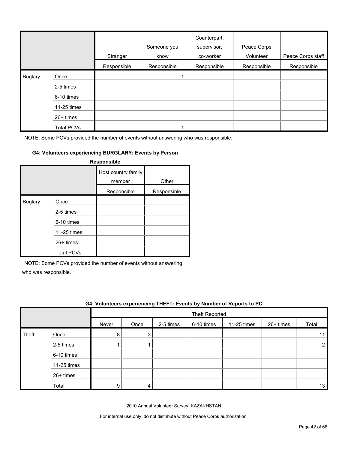|                |                   | Stranger    | Someone you<br>know | Counterpart,<br>supervisor,<br>co-worker | Peace Corps<br>Volunteer | Peace Corps staff |
|----------------|-------------------|-------------|---------------------|------------------------------------------|--------------------------|-------------------|
|                |                   | Responsible | Responsible         | Responsible                              | Responsible              | Responsible       |
| <b>Buglary</b> | Once              |             |                     |                                          |                          |                   |
|                | 2-5 times         |             |                     |                                          |                          |                   |
|                | 6-10 times        |             |                     |                                          |                          |                   |
|                | 11-25 times       |             |                     |                                          |                          |                   |
|                | $26+$ times       |             |                     |                                          |                          |                   |
|                | <b>Total PCVs</b> |             |                     |                                          |                          |                   |

## **G4: Volunteers experiencing BURGLARY: Events by Person**

| Responsible    |                   |                               |             |  |  |  |  |  |
|----------------|-------------------|-------------------------------|-------------|--|--|--|--|--|
|                |                   | Host country family<br>member | Other       |  |  |  |  |  |
|                |                   | Responsible                   | Responsible |  |  |  |  |  |
| <b>Buglary</b> | Once              |                               |             |  |  |  |  |  |
|                | 2-5 times         |                               |             |  |  |  |  |  |
|                | 6-10 times        |                               |             |  |  |  |  |  |
|                | 11-25 times       |                               |             |  |  |  |  |  |
|                | $26+$ times       |                               |             |  |  |  |  |  |
|                | <b>Total PCVs</b> |                               |             |  |  |  |  |  |

NOTE: Some PCVs provided the number of events without answering

who was responsible.

|       | G4: Volunteers experiencing THEFT: Events by Number of Reports to PC |       |      |           |                |             |             |       |  |
|-------|----------------------------------------------------------------------|-------|------|-----------|----------------|-------------|-------------|-------|--|
|       |                                                                      |       |      |           | Theft Reported |             |             |       |  |
|       |                                                                      | Never | Once | 2-5 times | 6-10 times     | 11-25 times | $26+$ times | Total |  |
| Theft | Once                                                                 | 8     | 3    |           |                |             |             |       |  |
|       | 2-5 times                                                            |       |      |           |                |             |             |       |  |
|       | 6-10 times                                                           |       |      |           |                |             |             |       |  |
|       | 11-25 times                                                          |       |      |           |                |             |             |       |  |
|       | 26+ times                                                            |       |      |           |                |             |             |       |  |
|       | Total                                                                | 9     | 4    |           |                |             |             | 13    |  |

2010 Annual Volunteer Survey: KAZAKHSTAN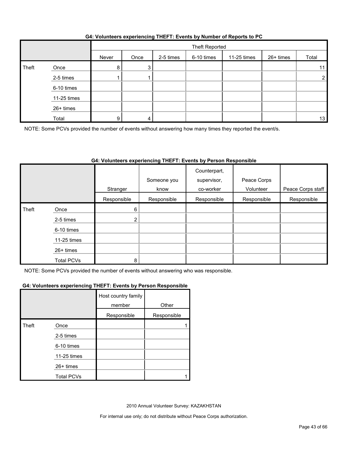| G4: Volunteers experiencing THEFT: Events by Number of Reports to PC |  |  |
|----------------------------------------------------------------------|--|--|
|                                                                      |  |  |

|       |             |       | Theft Reported |           |            |             |           |                |
|-------|-------------|-------|----------------|-----------|------------|-------------|-----------|----------------|
|       |             | Never | Once           | 2-5 times | 6-10 times | 11-25 times | 26+ times | Total          |
| Theft | Once        | 8     | 3              |           |            |             |           | 11             |
|       | 2-5 times   |       |                |           |            |             |           | $\overline{2}$ |
|       | 6-10 times  |       |                |           |            |             |           |                |
|       | 11-25 times |       |                |           |            |             |           |                |
|       | 26+ times   |       |                |           |            |             |           |                |
|       | Total       | 9     | 4              |           |            |             |           | 13             |

NOTE: Some PCVs provided the number of events without answering how many times they reported the event/s.

## **G4: Volunteers experiencing THEFT: Events by Person Responsible**

|       |                   | Stranger       | Someone you<br>know | Counterpart,<br>supervisor,<br>co-worker | Peace Corps<br>Volunteer | Peace Corps staff |
|-------|-------------------|----------------|---------------------|------------------------------------------|--------------------------|-------------------|
|       |                   | Responsible    | Responsible         | Responsible                              | Responsible              | Responsible       |
| Theft | Once              | 6              |                     |                                          |                          |                   |
|       | 2-5 times         | $\overline{2}$ |                     |                                          |                          |                   |
|       | 6-10 times        |                |                     |                                          |                          |                   |
|       | 11-25 times       |                |                     |                                          |                          |                   |
|       | 26+ times         |                |                     |                                          |                          |                   |
|       | <b>Total PCVs</b> | 8              |                     |                                          |                          |                   |

NOTE: Some PCVs provided the number of events without answering who was responsible.

#### **G4: Volunteers experiencing THEFT: Events by Person Responsible**

|       |                   | Host country family<br>member | Other       |
|-------|-------------------|-------------------------------|-------------|
|       |                   | Responsible                   | Responsible |
| Theft | Once              |                               |             |
|       | 2-5 times         |                               |             |
|       | 6-10 times        |                               |             |
|       | 11-25 times       |                               |             |
|       | 26+ times         |                               |             |
|       | <b>Total PCVs</b> |                               |             |

2010 Annual Volunteer Survey: KAZAKHSTAN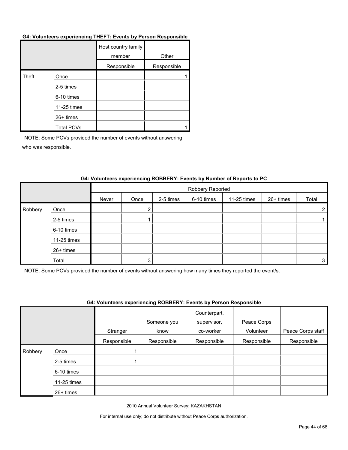#### **G4: Volunteers experiencing THEFT: Events by Person Responsible**

|       |                   | Host country family<br>member | Other       |
|-------|-------------------|-------------------------------|-------------|
|       |                   | Responsible                   | Responsible |
| Theft | Once              |                               |             |
|       | 2-5 times         |                               |             |
|       | 6-10 times        |                               |             |
|       | 11-25 times       |                               |             |
|       | 26+ times         |                               |             |
|       | <b>Total PCVs</b> |                               |             |

NOTE: Some PCVs provided the number of events without answering who was responsible.

|         |             |       | Robbery Reported |           |            |             |           |                |
|---------|-------------|-------|------------------|-----------|------------|-------------|-----------|----------------|
|         |             | Never | Once             | 2-5 times | 6-10 times | 11-25 times | 26+ times | Total          |
| Robbery | Once        |       | ົ                |           |            |             |           | $\overline{2}$ |
|         | 2-5 times   |       |                  |           |            |             |           |                |
|         | 6-10 times  |       |                  |           |            |             |           |                |
|         | 11-25 times |       |                  |           |            |             |           |                |
|         | 26+ times   |       |                  |           |            |             |           |                |
|         | Total       |       | 2                |           |            |             |           | 3              |

#### **G4: Volunteers experiencing ROBBERY: Events by Number of Reports to PC**

NOTE: Some PCVs provided the number of events without answering how many times they reported the event/s.

#### **G4: Volunteers experiencing ROBBERY: Events by Person Responsible**

|         |             |             |             | Counterpart, |             |                   |
|---------|-------------|-------------|-------------|--------------|-------------|-------------------|
|         |             |             | Someone you | supervisor,  | Peace Corps |                   |
|         |             | Stranger    | know        | co-worker    | Volunteer   | Peace Corps staff |
|         |             | Responsible | Responsible | Responsible  | Responsible | Responsible       |
| Robbery | Once        |             |             |              |             |                   |
|         | 2-5 times   |             |             |              |             |                   |
|         | 6-10 times  |             |             |              |             |                   |
|         | 11-25 times |             |             |              |             |                   |
|         | 26+ times   |             |             |              |             |                   |

2010 Annual Volunteer Survey: KAZAKHSTAN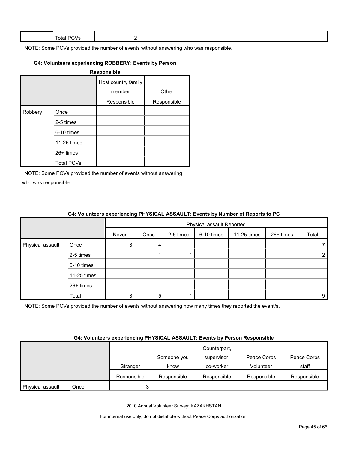| Total.<br>- -<br>- 11 |  |  |  |
|-----------------------|--|--|--|
|                       |  |  |  |

#### **G4: Volunteers experiencing ROBBERY: Events by Person**

| <b>Responsible</b> |                   |                               |             |  |  |  |  |  |
|--------------------|-------------------|-------------------------------|-------------|--|--|--|--|--|
|                    |                   | Host country family<br>member | Other       |  |  |  |  |  |
|                    |                   | Responsible                   | Responsible |  |  |  |  |  |
| Robbery            | Once              |                               |             |  |  |  |  |  |
|                    | 2-5 times         |                               |             |  |  |  |  |  |
|                    | 6-10 times        |                               |             |  |  |  |  |  |
|                    | 11-25 times       |                               |             |  |  |  |  |  |
|                    | $26+$ times       |                               |             |  |  |  |  |  |
|                    | <b>Total PCVs</b> |                               |             |  |  |  |  |  |

NOTE: Some PCVs provided the number of events without answering who was responsible.

|                  |             | $\bullet$ in relative to the content of the state $\bullet$ in the state $\bullet$ in the state $\bullet$ in the state $\bullet$ in $\bullet$ |                           |           |            |             |           |             |  |
|------------------|-------------|-----------------------------------------------------------------------------------------------------------------------------------------------|---------------------------|-----------|------------|-------------|-----------|-------------|--|
|                  |             |                                                                                                                                               | Physical assault Reported |           |            |             |           |             |  |
|                  |             | Never                                                                                                                                         | Once                      | 2-5 times | 6-10 times | 11-25 times | 26+ times | Total       |  |
| Physical assault | Once        | 3                                                                                                                                             | 4                         |           |            |             |           | 7.          |  |
|                  | 2-5 times   |                                                                                                                                               |                           |           |            |             |           | $2^{\circ}$ |  |
|                  | 6-10 times  |                                                                                                                                               |                           |           |            |             |           |             |  |
|                  | 11-25 times |                                                                                                                                               |                           |           |            |             |           |             |  |
|                  | 26+ times   |                                                                                                                                               |                           |           |            |             |           |             |  |
|                  | Total       | 2                                                                                                                                             | 5                         |           |            |             |           | 9           |  |

#### **G4: Volunteers experiencing PHYSICAL ASSAULT: Events by Number of Reports to PC**

NOTE: Some PCVs provided the number of events without answering how many times they reported the event/s.

#### **G4: Volunteers experiencing PHYSICAL ASSAULT: Events by Person Responsible**

|                  |      |             |             | Counterpart, |             |             |
|------------------|------|-------------|-------------|--------------|-------------|-------------|
|                  |      |             | Someone you | supervisor,  | Peace Corps | Peace Corps |
|                  |      | Stranger    | know        | co-worker    | Volunteer   | staff       |
|                  |      | Responsible | Responsible | Responsible  | Responsible | Responsible |
| Physical assault | Once |             |             |              |             |             |

2010 Annual Volunteer Survey: KAZAKHSTAN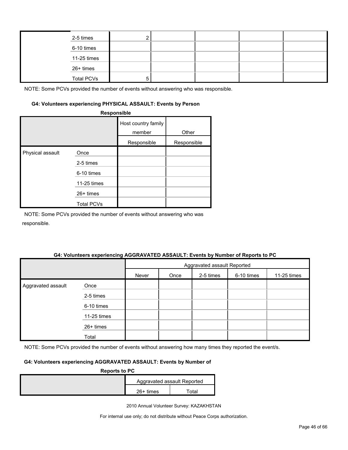| 2-5 times         |  |  |  |
|-------------------|--|--|--|
| 6-10 times        |  |  |  |
| 11-25 times       |  |  |  |
| 26+ times         |  |  |  |
| <b>Total PCVs</b> |  |  |  |

#### **G4: Volunteers experiencing PHYSICAL ASSAULT: Events by Person**

|                  | Responsible       |                               |             |
|------------------|-------------------|-------------------------------|-------------|
|                  |                   | Host country family<br>member | Other       |
|                  |                   | Responsible                   | Responsible |
| Physical assault | Once              |                               |             |
|                  | 2-5 times         |                               |             |
|                  | 6-10 times        |                               |             |
|                  | 11-25 times       |                               |             |
|                  | 26+ times         |                               |             |
|                  | <b>Total PCVs</b> |                               |             |

NOTE: Some PCVs provided the number of events without answering who was responsible.

#### **G4: Volunteers experiencing AGGRAVATED ASSAULT: Events by Number of Reports to PC**

|                    |             | Aggravated assault Reported |      |           |            |             |  |
|--------------------|-------------|-----------------------------|------|-----------|------------|-------------|--|
|                    |             | Never                       | Once | 2-5 times | 6-10 times | 11-25 times |  |
| Aggravated assault | Once        |                             |      |           |            |             |  |
|                    | 2-5 times   |                             |      |           |            |             |  |
|                    | 6-10 times  |                             |      |           |            |             |  |
|                    | 11-25 times |                             |      |           |            |             |  |
|                    | 26+ times   |                             |      |           |            |             |  |
|                    | Total       |                             |      |           |            |             |  |

NOTE: Some PCVs provided the number of events without answering how many times they reported the event/s.

## **G4: Volunteers experiencing AGGRAVATED ASSAULT: Events by Number of**

| <b>Reports to PC</b> |             |                             |
|----------------------|-------------|-----------------------------|
|                      |             | Aggravated assault Reported |
|                      | $26+$ times | Гоtal                       |

2010 Annual Volunteer Survey: KAZAKHSTAN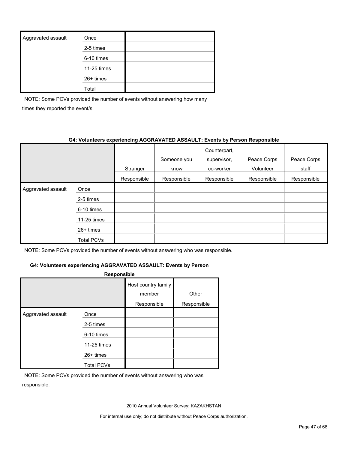| Aggravated assault | Once        |  |
|--------------------|-------------|--|
|                    | 2-5 times   |  |
|                    | 6-10 times  |  |
|                    | 11-25 times |  |
|                    | 26+ times   |  |
|                    | Total       |  |

NOTE: Some PCVs provided the number of events without answering how many times they reported the event/s.

#### **G4: Volunteers experiencing AGGRAVATED ASSAULT: Events by Person Responsible**

|                    |             | Stranger    | Someone you<br>know | Counterpart,<br>supervisor,<br>co-worker | Peace Corps<br>Volunteer | Peace Corps<br>staff |
|--------------------|-------------|-------------|---------------------|------------------------------------------|--------------------------|----------------------|
|                    |             | Responsible | Responsible         | Responsible                              | Responsible              | Responsible          |
| Aggravated assault | Once        |             |                     |                                          |                          |                      |
|                    | 2-5 times   |             |                     |                                          |                          |                      |
|                    | 6-10 times  |             |                     |                                          |                          |                      |
|                    | 11-25 times |             |                     |                                          |                          |                      |
|                    | $26+$ times |             |                     |                                          |                          |                      |
|                    | Total PCVs  |             |                     |                                          |                          |                      |

NOTE: Some PCVs provided the number of events without answering who was responsible.

## **G4: Volunteers experiencing AGGRAVATED ASSAULT: Events by Person**

| Responsible        |                                  |                               |             |  |  |  |  |  |  |
|--------------------|----------------------------------|-------------------------------|-------------|--|--|--|--|--|--|
|                    |                                  | Host country family<br>member | Other       |  |  |  |  |  |  |
|                    |                                  | Responsible                   | Responsible |  |  |  |  |  |  |
| Aggravated assault | Once<br>2-5 times<br>6-10 times  |                               |             |  |  |  |  |  |  |
|                    | 11-25 times                      |                               |             |  |  |  |  |  |  |
|                    | $26+$ times<br><b>Total PCVs</b> |                               |             |  |  |  |  |  |  |

NOTE: Some PCVs provided the number of events without answering who was responsible.

2010 Annual Volunteer Survey: KAZAKHSTAN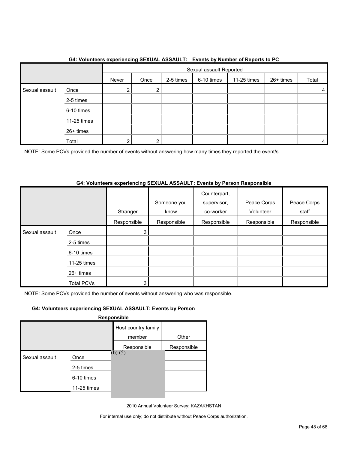|                |             |       | . <b>. .</b><br>Sexual assault Reported |           |            |             |           |       |
|----------------|-------------|-------|-----------------------------------------|-----------|------------|-------------|-----------|-------|
|                |             | Never | Once                                    | 2-5 times | 6-10 times | 11-25 times | 26+ times | Total |
| Sexual assault | Once        | 2     | ົ                                       |           |            |             |           | 4     |
|                | 2-5 times   |       |                                         |           |            |             |           |       |
|                | 6-10 times  |       |                                         |           |            |             |           |       |
|                | 11-25 times |       |                                         |           |            |             |           |       |
|                | 26+ times   |       |                                         |           |            |             |           |       |
|                | Total       | 2     | C                                       |           |            |             |           | 4     |

## **G4: Volunteers experiencing SEXUAL ASSAULT: Events by Number of Reports to PC**

NOTE: Some PCVs provided the number of events without answering how many times they reported the event/s.

### **G4: Volunteers experiencing SEXUAL ASSAULT: Events by Person Responsible**

|                |                   | Stranger    | Someone you<br>know | Counterpart,<br>supervisor,<br>co-worker | Peace Corps<br>Volunteer | Peace Corps<br>staff |
|----------------|-------------------|-------------|---------------------|------------------------------------------|--------------------------|----------------------|
|                |                   | Responsible | Responsible         | Responsible                              | Responsible              | Responsible          |
| Sexual assault | Once              | 3           |                     |                                          |                          |                      |
|                | 2-5 times         |             |                     |                                          |                          |                      |
|                | 6-10 times        |             |                     |                                          |                          |                      |
|                | 11-25 times       |             |                     |                                          |                          |                      |
|                | 26+ times         |             |                     |                                          |                          |                      |
|                | <b>Total PCVs</b> | 3           |                     |                                          |                          |                      |

NOTE: Some PCVs provided the number of events without answering who was responsible.

## **G4: Volunteers experiencing SEXUAL ASSAULT: Events by Person**

**Responsible**

|                |             | Host country family<br>member | Other       |
|----------------|-------------|-------------------------------|-------------|
|                |             |                               |             |
|                |             | Responsible                   | Responsible |
| Sexual assault | Once        | $(b)$ $(5)$                   |             |
|                | 2-5 times   |                               |             |
|                | 6-10 times  |                               |             |
|                | 11-25 times |                               |             |
|                |             |                               |             |

2010 Annual Volunteer Survey: KAZAKHSTAN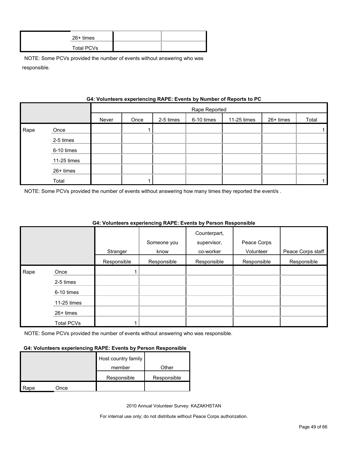| 26+ times  |  |
|------------|--|
| Total PCVs |  |

|      | 07. VURINGERS EXPERIENCING INALIZE: LIVENES DY NUMBER OF REPORTS TO FO |       |               |           |            |             |           |       |  |
|------|------------------------------------------------------------------------|-------|---------------|-----------|------------|-------------|-----------|-------|--|
|      |                                                                        |       | Rape Reported |           |            |             |           |       |  |
|      |                                                                        | Never | Once          | 2-5 times | 6-10 times | 11-25 times | 26+ times | Total |  |
| Rape | Once                                                                   |       |               |           |            |             |           |       |  |
|      | 2-5 times                                                              |       |               |           |            |             |           |       |  |
|      | 6-10 times                                                             |       |               |           |            |             |           |       |  |
|      | 11-25 times                                                            |       |               |           |            |             |           |       |  |
|      | 26+ times                                                              |       |               |           |            |             |           |       |  |
|      | Total                                                                  |       |               |           |            |             |           |       |  |

## **G4: Volunteers experiencing RAPE: Events by Number of Reports to PC**

NOTE: Some PCVs provided the number of events without answering how many times they reported the event/s .

|      |             |             |             | Counterpart, |             |                   |
|------|-------------|-------------|-------------|--------------|-------------|-------------------|
|      |             |             | Someone you | supervisor,  | Peace Corps |                   |
|      |             | Stranger    | know        | co-worker    | Volunteer   | Peace Corps staff |
|      |             | Responsible | Responsible | Responsible  | Responsible | Responsible       |
| Rape | Once        |             |             |              |             |                   |
|      | 2-5 times   |             |             |              |             |                   |
|      | 6-10 times  |             |             |              |             |                   |
|      | 11-25 times |             |             |              |             |                   |
|      | 26+ times   |             |             |              |             |                   |
|      | Total PCVs  |             |             |              |             |                   |

## **G4: Volunteers experiencing RAPE: Events by Person Responsible**

NOTE: Some PCVs provided the number of events without answering who was responsible.

#### **G4: Volunteers experiencing RAPE: Events by Person Responsible**

|      |      | Host country family |             |
|------|------|---------------------|-------------|
|      |      | member              | Other       |
|      |      | Responsible         | Responsible |
| Rape | Once |                     |             |

2010 Annual Volunteer Survey: KAZAKHSTAN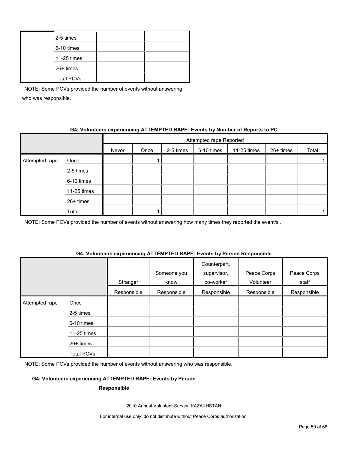| 2-5 times         |  |
|-------------------|--|
| 6-10 times        |  |
| 11-25 times       |  |
| 26+ times         |  |
| <b>Total PCVs</b> |  |

## **G4: Volunteers experiencing ATTEMPTED RAPE: Events by Number of Reports to PC**

|                |             |       | Attempted rape Reported |           |            |             |           |       |  |
|----------------|-------------|-------|-------------------------|-----------|------------|-------------|-----------|-------|--|
|                |             | Never | Once                    | 2-5 times | 6-10 times | 11-25 times | 26+ times | Total |  |
| Attempted rape | Once        |       |                         |           |            |             |           |       |  |
|                | 2-5 times   |       |                         |           |            |             |           |       |  |
|                | 6-10 times  |       |                         |           |            |             |           |       |  |
|                | 11-25 times |       |                         |           |            |             |           |       |  |
|                | 26+ times   |       |                         |           |            |             |           |       |  |
|                | Total       |       |                         |           |            |             |           |       |  |

NOTE: Some PCVs provided the number of events without answering how many times they reported the event/s.

#### **G4: Volunteers experiencing ATTEMPTED RAPE: Events by Person Responsible**

|                |             | Stranger    | Someone you<br>know | Counterpart,<br>supervisor,<br>co-worker | Peace Corps<br>Volunteer | Peace Corps<br>staff |
|----------------|-------------|-------------|---------------------|------------------------------------------|--------------------------|----------------------|
|                |             | Responsible | Responsible         | Responsible                              | Responsible              | Responsible          |
| Attempted rape | Once        |             |                     |                                          |                          |                      |
|                | 2-5 times   |             |                     |                                          |                          |                      |
|                | 6-10 times  |             |                     |                                          |                          |                      |
|                | 11-25 times |             |                     |                                          |                          |                      |
|                | 26+ times   |             |                     |                                          |                          |                      |
|                | Total PCVs  |             |                     |                                          |                          |                      |

NOTE: Some PCVs provided the number of events without answering who was responsible.

## **G4: Volunteers experiencing ATTEMPTED RAPE: Events by Person**

#### **Responsible**

2010 Annual Volunteer Survey: KAZAKHSTAN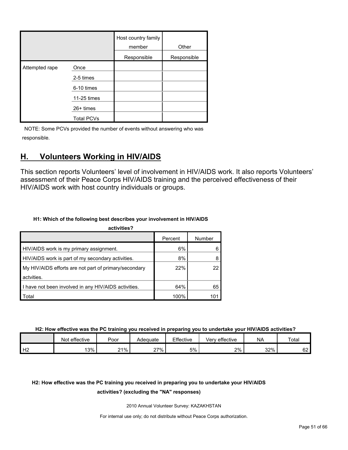|                |                   | Host country family<br>member | Other       |
|----------------|-------------------|-------------------------------|-------------|
|                |                   | Responsible                   | Responsible |
| Attempted rape | Once              |                               |             |
|                | 2-5 times         |                               |             |
|                | 6-10 times        |                               |             |
|                | 11-25 times       |                               |             |
|                | 26+ times         |                               |             |
|                | <b>Total PCVs</b> |                               |             |

## <span id="page-50-0"></span>**H. Volunteers Working in HIV/AIDS**

This section reports Volunteers' level of involvement in HIV/AIDS work. It also reports Volunteers' assessment of their Peace Corps HIV/AIDS training and the perceived effectiveness of their HIV/AIDS work with host country individuals or groups.

## **H1: Which of the following best describes your involvement in HIV/AIDS**

| activities?                                           |         |        |
|-------------------------------------------------------|---------|--------|
|                                                       | Percent | Number |
| HIV/AIDS work is my primary assignment.               | 6%      |        |
| HIV/AIDS work is part of my secondary activities.     | 8%      |        |
| My HIV/AIDS efforts are not part of primary/secondary | 22%     |        |
| actvities.                                            |         |        |
| I have not been involved in any HIV/AIDS activities.  | 64%     | 65     |
| Total                                                 | 100%    | 101    |

**H2: How effective was the PC training you received in preparing you to undertake your HIV/AIDS activities?**

|    | effective<br>Not | Poor | Adequate | Effective | effective<br>Verv | <b>NA</b> | Total     |
|----|------------------|------|----------|-----------|-------------------|-----------|-----------|
| Н2 | 13%              | 21%  | 27%      | 5%        | 2%                | 32%       | rn.<br>୰∠ |

## **H2: How effective was the PC training you received in preparing you to undertake your HIV/AIDS**

## **activities? (excluding the "NA" responses)**

2010 Annual Volunteer Survey: KAZAKHSTAN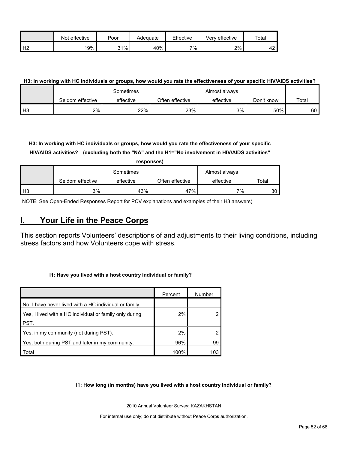|                | effective<br>Not | Poor | Adequate | Effective | Verv effective | Total |
|----------------|------------------|------|----------|-----------|----------------|-------|
| H <sub>2</sub> | 19%              | 31%  | 40%      | 7%        | 2%             | ໍດ    |

## **H3: In working with HC individuals or groups, how would you rate the effectiveness of your specific HIV/AIDS activities?**

|      |                  | Sometimes |                 | Almost always |            |       |
|------|------------------|-----------|-----------------|---------------|------------|-------|
|      | Seldom effective | effective | Often effective | effective     | Don't know | Total |
| l H3 | 2%               | 22%       | 23%             | 3%            | 50%        | 60 I  |

**H3: In working with HC individuals or groups, how would you rate the effectiveness of your specific HIV/AIDS activities? (excluding both the "NA" and the H1="No involvement in HIV/AIDS activities"** 

|      | responses)       |           |                 |               |       |  |  |  |
|------|------------------|-----------|-----------------|---------------|-------|--|--|--|
|      |                  | Sometimes |                 | Almost always |       |  |  |  |
|      | Seldom effective | effective | Often effective | effective     | Total |  |  |  |
| l H3 | 3%               | 43%       | 47%             | 7%            | 30    |  |  |  |

NOTE: See Open-Ended Responses Report for PCV explanations and examples of their H3 answers)

## <span id="page-51-0"></span>**I. Your Life in the Peace Corps**

This section reports Volunteers' descriptions of and adjustments to their living conditions, including stress factors and how Volunteers cope with stress.

#### **I1: Have you lived with a host country individual or family?**

|                                                         | Percent | Number |
|---------------------------------------------------------|---------|--------|
| No, I have never lived with a HC individual or family.  |         |        |
| Yes, I lived with a HC individual or family only during | 2%      |        |
| PST.                                                    |         |        |
| Yes, in my community (not during PST).                  | 2%      |        |
| Yes, both during PST and later in my community.         | 96%     | 99     |
| Total                                                   | 100%    | 103    |

**I1: How long (in months) have you lived with a host country individual or family?**

2010 Annual Volunteer Survey: KAZAKHSTAN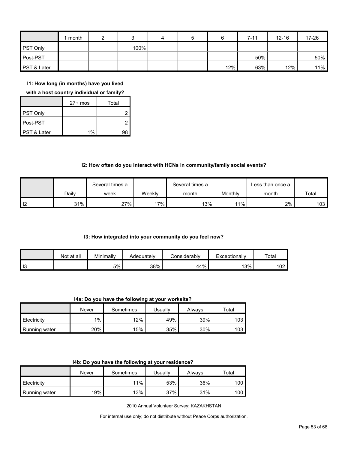|                 | month |      | 4 | 5 |     | $7 - 11$ | $12 - 16$ | 17-26 |
|-----------------|-------|------|---|---|-----|----------|-----------|-------|
| <b>PST Only</b> |       | 100% |   |   |     |          |           |       |
| Post-PST        |       |      |   |   |     | 50%      |           | 50%   |
| PST & Later     |       |      |   |   | 12% | 63%      | 12%       | 11%   |

**I1: How long (in months) have you lived** 

**with a host country individual or family?**

|                        | $27+$ mos | Total |
|------------------------|-----------|-------|
| PST Only               |           |       |
| Post-PST               |           |       |
| <b>PST &amp; Later</b> | 1%        | q۶    |

## **I2: How often do you interact with HCNs in community/family social events?**

|                   |       | Several times a |        | Several times a |         | ∟ess than once a |       |
|-------------------|-------|-----------------|--------|-----------------|---------|------------------|-------|
|                   | Dailv | week            | Weekly | month           | Monthly | month            | Total |
| $\overline{1}$ 12 | 31%   | 27%             | $17\%$ | 13%             | 11%     | 2%               | 103   |

#### **I3: How integrated into your community do you feel now?**

|    | Not at all | Minimally | Adequatelv | :onsiderablv | Exceptionally | Total |
|----|------------|-----------|------------|--------------|---------------|-------|
| 13 |            | 5%        | 38%        | 44%          | 3%            | 102   |

**I4a: Do you have the following at your worksite?**

|               | Never | Sometimes | Jsuallv | Alwavs | Total |
|---------------|-------|-----------|---------|--------|-------|
| Electricity   | 1%    | 12%       | 49%     | 39%    | 103   |
| Running water | 20%   | 15%       | 35%     | 30%    | 103   |

|  | I4b: Do you have the following at your residence? |  |
|--|---------------------------------------------------|--|
|--|---------------------------------------------------|--|

|                      | Never | Sometimes | Usuallv | Always | Total |
|----------------------|-------|-----------|---------|--------|-------|
| Electricity          |       | 11%       | 53%     | 36%    | 100   |
| <b>Running water</b> | 19%   | $13\%$    | 37%     | 31%    | 100   |

2010 Annual Volunteer Survey: KAZAKHSTAN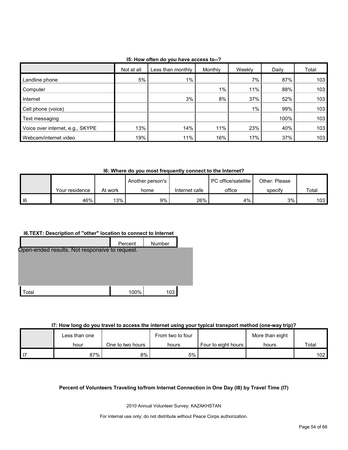| 15: How often do you have access to--? |  |
|----------------------------------------|--|
|----------------------------------------|--|

|                                  | Not at all | Less than monthly | Monthly | Weekly | Daily | Total |
|----------------------------------|------------|-------------------|---------|--------|-------|-------|
| Landline phone                   | 5%         | $1\%$             |         | 7%     | 87%   | 103   |
| Computer                         |            |                   | $1\%$   | 11%    | 88%   | 103   |
| Internet                         |            | 3%                | 8%      | 37%    | 52%   | 103   |
| Cell phone (voice)               |            |                   |         | $1\%$  | 99%   | 103   |
| Text messaging                   |            |                   |         |        | 100%  | 103   |
| Voice over internet, e.g., SKYPE | 13%        | 14%               | 11%     | 23%    | 40%   | 103   |
| Webcam/internet video            | 19%        | 11%               | 16%     | 17%    | 37%   | 103   |

**I6: Where do you most frequently connect to the Internet?**

|    |                |         | Another person's |               | PC office/satellite | Other: Please |       |
|----|----------------|---------|------------------|---------------|---------------------|---------------|-------|
|    | Your residence | At work | home             | Internet cafe | office              | specify       | Total |
| 16 | 46%            | 13%     | 9%               | 26%           | 4%                  | 3%            | 103   |

## **I6.TEXT: Description of "other" location to connect to Internet**



#### **I7: How long do you travel to access the internet using your typical transport method (one-way trip)?**

| Less than one |                  | From two to four |                     | More than eight |       |
|---------------|------------------|------------------|---------------------|-----------------|-------|
| hour          | One to two hours | hours            | Four to eight hours | hours           | Total |
| 87%           | 8%               | 5%               |                     |                 | 102   |

## **Percent of Volunteers Traveling to/from Internet Connection in One Day (I8) by Travel Time (I7)**

2010 Annual Volunteer Survey: KAZAKHSTAN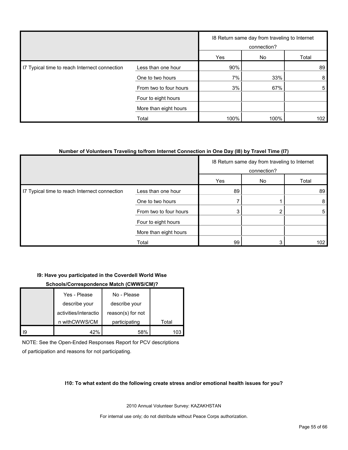|                                               |                        |      | 18 Return same day from traveling to Internet<br>connection? |       |
|-----------------------------------------------|------------------------|------|--------------------------------------------------------------|-------|
|                                               |                        | Yes  | No                                                           | Total |
| 17 Typical time to reach Internect connection | Less than one hour     | 90%  |                                                              | 89    |
|                                               | One to two hours       | 7%   | 33%                                                          | 8     |
|                                               | From two to four hours | 3%   | 67%                                                          | 5     |
|                                               | Four to eight hours    |      |                                                              |       |
|                                               | More than eight hours  |      |                                                              |       |
|                                               | Total                  | 100% | 100%                                                         | 102   |

### **Number of Volunteers Traveling to/from Internet Connection in One Day (I8) by Travel Time (I7)**

|                                               |                        |     | 18 Return same day from traveling to Internet<br>connection? |       |
|-----------------------------------------------|------------------------|-----|--------------------------------------------------------------|-------|
|                                               |                        | Yes | No                                                           | Total |
| I7 Typical time to reach Internect connection | Less than one hour     | 89  |                                                              | 89    |
|                                               | One to two hours       |     |                                                              | 8     |
|                                               | From two to four hours |     |                                                              | 5     |
|                                               | Four to eight hours    |     |                                                              |       |
|                                               | More than eight hours  |     |                                                              |       |
|                                               | Total                  | 99  |                                                              | 102   |

#### **I9: Have you participated in the Coverdell World Wise**

#### **Schools/Correspondence Match (CWWS/CM)?**

|     | Yes - Please          | No - Please       |       |
|-----|-----------------------|-------------------|-------|
|     | describe your         | describe your     |       |
|     | activities/interactio | reason(s) for not |       |
|     | n withCWWS/CM         | participating     | Total |
| -19 | 42%                   | 58%               |       |

NOTE: See the Open-Ended Responses Report for PCV descriptions of participation and reasons for not participating.

#### **I10: To what extent do the following create stress and/or emotional health issues for you?**

2010 Annual Volunteer Survey: KAZAKHSTAN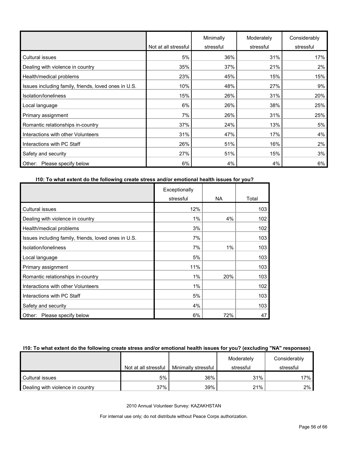|                                                      | Not at all stressful | Minimally<br>stressful | Moderately<br>stressful | Considerably<br>stressful |
|------------------------------------------------------|----------------------|------------------------|-------------------------|---------------------------|
| <b>Cultural issues</b>                               | 5%                   | 36%                    | 31%                     | 17%                       |
| Dealing with violence in country                     | 35%                  | 37%                    | 21%                     | 2%                        |
| Health/medical problems                              | 23%                  | 45%                    | 15%                     | 15%                       |
| Issues including family, friends, loved ones in U.S. | 10%                  | 48%                    | 27%                     | 9%                        |
| Isolation/Ioneliness                                 | 15%                  | 26%                    | 31%                     | 20%                       |
| Local language                                       | 6%                   | 26%                    | 38%                     | 25%                       |
| Primary assignment                                   | 7%                   | 26%                    | 31%                     | 25%                       |
| Romantic relationships in-country                    | 37%                  | 24%                    | 13%                     | 5%                        |
| Interactions with other Volunteers                   | 31%                  | 47%                    | 17%                     | 4%                        |
| Interactions with PC Staff                           | 26%                  | 51%                    | 16%                     | 2%                        |
| Safety and security                                  | 27%                  | 51%                    | 15%                     | 3%                        |
| Please specify below<br>Other:                       | 6%                   | 4%                     | 4%                      | 6%                        |

## **I10: To what extent do the following create stress and/or emotional health issues for you?**

|                                                      | Exceptionally |           |       |
|------------------------------------------------------|---------------|-----------|-------|
|                                                      | stressful     | <b>NA</b> | Total |
| <b>Cultural issues</b>                               | 12%           |           | 103   |
| Dealing with violence in country                     | 1%            | 4%        | 102   |
| Health/medical problems                              | 3%            |           | 102   |
| Issues including family, friends, loved ones in U.S. | 7%            |           | 103   |
| Isolation/loneliness                                 | 7%            | $1\%$     | 103   |
| Local language                                       | 5%            |           | 103   |
| Primary assignment                                   | 11%           |           | 103   |
| Romantic relationships in-country                    | 1%            | 20%       | 103   |
| Interactions with other Volunteers                   | $1\%$         |           | 102   |
| Interactions with PC Staff                           | 5%            |           | 103   |
| Safety and security                                  | 4%            |           | 103   |
| Please specify below<br>Other:                       | 6%            | 72%       | 47    |

### **I10: To what extent do the following create stress and/or emotional health issues for you? (excluding "NA" responses)**

|                                  |                      |                     | Moderately | Considerably |
|----------------------------------|----------------------|---------------------|------------|--------------|
|                                  | Not at all stressful | Minimally stressful | stressful  | stressful    |
| Cultural issues                  | 5%                   | 36%                 | 31%        | 17%          |
| Dealing with violence in country | 37%                  | 39%                 | 21%        | 2%           |

2010 Annual Volunteer Survey: KAZAKHSTAN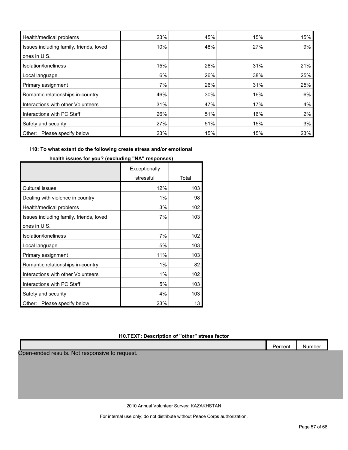| Health/medical problems                 | 23% | 45% | 15% | 15% |
|-----------------------------------------|-----|-----|-----|-----|
| Issues including family, friends, loved | 10% | 48% | 27% | 9%  |
| ones in U.S.                            |     |     |     |     |
| Isolation/loneliness                    | 15% | 26% | 31% | 21% |
| Local language                          | 6%  | 26% | 38% | 25% |
| Primary assignment                      | 7%  | 26% | 31% | 25% |
| Romantic relationships in-country       | 46% | 30% | 16% | 6%  |
| Interactions with other Volunteers      | 31% | 47% | 17% | 4%  |
| Interactions with PC Staff              | 26% | 51% | 16% | 2%  |
| Safety and security                     | 27% | 51% | 15% | 3%  |
| Please specify below<br>Other:          | 23% | 15% | 15% | 23% |

## **I10: To what extent do the following create stress and/or emotional**

|                                         | Exceptionally |       |
|-----------------------------------------|---------------|-------|
|                                         | stressful     | Total |
| <b>Cultural issues</b>                  | 12%           | 103   |
| Dealing with violence in country        | 1%            | 98    |
| Health/medical problems                 | 3%            | 102   |
| Issues including family, friends, loved | 7%            | 103   |
| ones in U.S.                            |               |       |
| Isolation/Ioneliness                    | 7%            | 102   |
| Local language                          | 5%            | 103   |
| Primary assignment                      | 11%           | 103   |
| Romantic relationships in-country       | 1%            | 82    |
| Interactions with other Volunteers      | 1%            | 102   |
| Interactions with PC Staff              | 5%            | 103   |
| Safety and security                     | 4%            | 103   |
| Please specify below<br>Other:          | 23%           | 13    |

**health issues for you? (excluding "NA" responses)**

## **I10.TEXT: Description of "other" stress factor**

|                                                | Percent | Number |
|------------------------------------------------|---------|--------|
| Open-ended results. Not responsive to request. |         |        |
|                                                |         |        |
|                                                |         |        |
|                                                |         |        |
|                                                |         |        |

2010 Annual Volunteer Survey: KAZAKHSTAN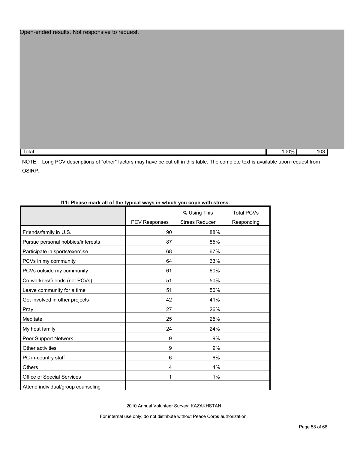Total 100% 103

NOTE: Long PCV descriptions of "other" factors may have be cut off in this table. The complete text is available upon request from OSIRP.

|                                    |               | % Using This          | <b>Total PCVs</b> |
|------------------------------------|---------------|-----------------------|-------------------|
|                                    | PCV Responses | <b>Stress Reducer</b> | Responding        |
| Friends/family in U.S.             | 90            | 88%                   |                   |
| Pursue personal hobbies/interests  | 87            | 85%                   |                   |
| Participate in sports/exercise     | 68            | 67%                   |                   |
| PCVs in my community               | 64            | 63%                   |                   |
| PCVs outside my community          | 61            | 60%                   |                   |
| Co-workers/friends (not PCVs)      | 51            | 50%                   |                   |
| Leave community for a time         | 51            | 50%                   |                   |
| Get involved in other projects     | 42            | 41%                   |                   |
| Pray                               | 27            | 26%                   |                   |
| Meditate                           | 25            | 25%                   |                   |
| My host family                     | 24            | 24%                   |                   |
| Peer Support Network               | 9             | 9%                    |                   |
| Other activities                   | 9             | 9%                    |                   |
| PC in-country staff                | 6             | 6%                    |                   |
| Others                             | 4             | 4%                    |                   |
| Office of Special Services         |               | $1\%$                 |                   |
| Attend individual/group counseling |               |                       |                   |

## **I11: Please mark all of the typical ways in which you cope with stress.**

2010 Annual Volunteer Survey: KAZAKHSTAN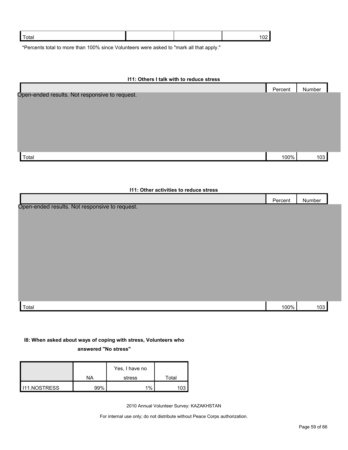| otal |  |  |
|------|--|--|
|      |  |  |

\*Percents total to more than 100% since Volunteers were asked to "mark all that apply."

| 111: Others I talk with to reduce stress       |         |        |
|------------------------------------------------|---------|--------|
|                                                | Percent | Number |
| Open-ended results. Not responsive to request. |         |        |
| Total                                          | 100%    | 103    |
| <b>111: Other activities to reduce stress</b>  |         |        |
|                                                |         |        |
|                                                | Percent | Number |
| Open-ended results. Not responsive to request. |         |        |

## **I8: When asked about ways of coping with stress, Volunteers who**

**answered "No stress"** 

|                       |           | Yes, I have no |       |
|-----------------------|-----------|----------------|-------|
|                       | <b>NA</b> | stress         | Total |
| <b>I</b> I11.NOSTRESS | 99%       | $1\%$          | 103   |

2010 Annual Volunteer Survey: KAZAKHSTAN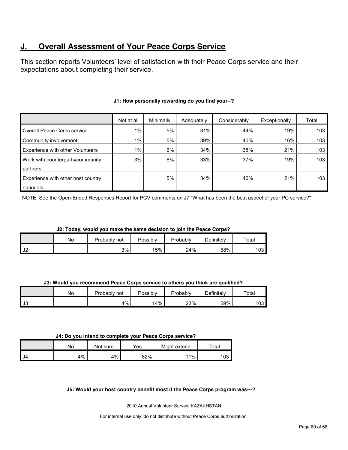## **J. Overall Assessment of Your Peace Corps Service**

This section reports Volunteers' level of satisfaction with their Peace Corps service and their expectations about completing their service.

|                                         | Not at all | Minimally | Adequately | Considerably | Exceptionally | Total            |
|-----------------------------------------|------------|-----------|------------|--------------|---------------|------------------|
| Overall Peace Corps service             | 1%         | 5%        | 31%        | 44%          | 19%           | 103 <sub>1</sub> |
| Community involvement                   | 1%         | 5%        | 39%        | 40%          | 16%           | 103              |
| <b>Experience with other Volunteers</b> | $1\%$      | 6%        | 34%        | 38%          | 21%           | 103              |
| Work with counterparts/community        | 3%         | 8%        | 33%        | 37%          | 19%           | 103              |
| partners                                |            |           |            |              |               |                  |
| Experience with other host country      |            | 5%        | 34%        | 40%          | 21%           | 103              |
| nationals                               |            |           |            |              |               |                  |

## **J1: How personally rewarding do you find your--?**

NOTE: See the Open-Ended Responses Report for PCV comments on J7 "What has been the best aspect of your PC service?"

| J2: Today, would you make the same decision to join the Peace Corps? |  |
|----------------------------------------------------------------------|--|
|                                                                      |  |

|      | No | <sup>o</sup> robablv<br>not | Possibly | Probably | Definitely | Total     |
|------|----|-----------------------------|----------|----------|------------|-----------|
| 1 J2 |    | 3%                          | 15%      | 24%      | 58%        | <b>03</b> |

**J3: Would you recommend Peace Corps service to others you think are qualified?**

|    | No | Probably<br>not | Possibly | Probably | Definitely | Total |
|----|----|-----------------|----------|----------|------------|-------|
| J3 |    | 4%              | 4%       | 23%      | 59%        | 103   |

#### **J4: Do you intend to complete your Peace Corps service?**

|       | No | Not sure | $\mathsf{v}_{\mathsf{es}}$ | Might extend | Total               |
|-------|----|----------|----------------------------|--------------|---------------------|
| II J4 | 4% | 4%       | 82%                        | 11%          | $\sim$ $\sim$<br>U3 |

#### **J5: Would your host country benefit most if the Peace Corps program was---?**

2010 Annual Volunteer Survey: KAZAKHSTAN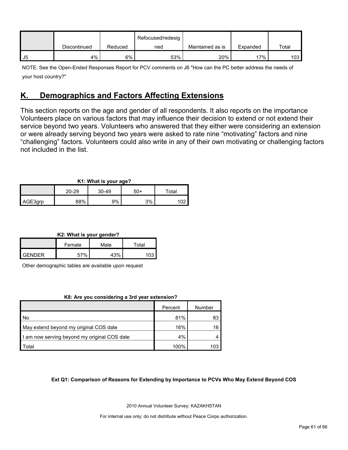|    |              |         | Refocused/redesig |                  |          |       |
|----|--------------|---------|-------------------|------------------|----------|-------|
|    | Discontinued | Reduced | ned               | Maintained as is | Expanded | Total |
| J5 | 4%           | 6%      | 53%               | 20%              | 17%      | 103   |

NOTE: See the Open-Ended Responses Report for PCV comments on J6 "How can the PC better address the needs of your host country?"

## <span id="page-60-0"></span>**K. Demographics and Factors Affecting Extensions**

This section reports on the age and gender of all respondents. It also reports on the importance Volunteers place on various factors that may influence their decision to extend or not extend their service beyond two years. Volunteers who answered that they either were considering an extension or were already serving beyond two years were asked to rate nine "motivating" factors and nine "challenging" factors. Volunteers could also write in any of their own motivating or challenging factors not included in the list.

| K1: What is your age? |            |         |     |       |  |
|-----------------------|------------|---------|-----|-------|--|
|                       | 20-29      | $30-49$ | 50+ | Total |  |
| AGE3grp               | <b>88%</b> | 9%      | 3%  |       |  |

**K2: What is your gender?**

|        | Female | Male | $\tau$ otal |
|--------|--------|------|-------------|
| GENDER | 57%    | 1201 | 102         |

Other demographic tables are available upon request

#### **K8: Are you considering a 3rd year extension?**

|                                              | Percent | Number |
|----------------------------------------------|---------|--------|
| I No                                         | 81%     | 83     |
| May extend beyond my original COS date       | 16%     | 16     |
| I am now serving beyond my original COS date | 4%      |        |
| Total                                        | 100%    | 103    |

#### **Ext Q1: Comparison of Reasons for Extending by Importance to PCVs Who May Extend Beyond COS**

2010 Annual Volunteer Survey: KAZAKHSTAN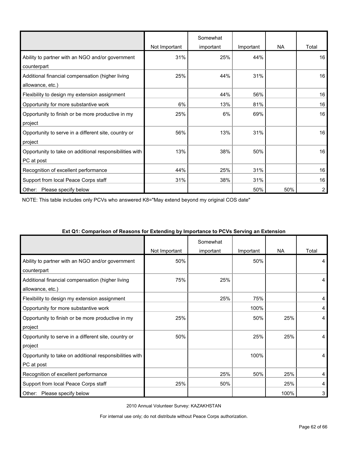|                                                         |               | Somewhat  |           |           |       |
|---------------------------------------------------------|---------------|-----------|-----------|-----------|-------|
|                                                         | Not Important | important | Important | <b>NA</b> | Total |
| Ability to partner with an NGO and/or government        | 31%           | 25%       | 44%       |           | 16    |
| counterpart                                             |               |           |           |           |       |
| Additional financial compensation (higher living        | 25%           | 44%       | 31%       |           | 16    |
| allowance, etc.)                                        |               |           |           |           |       |
| Flexibility to design my extension assignment           |               | 44%       | 56%       |           | 16    |
| Opportunity for more substantive work                   | 6%            | 13%       | 81%       |           | 16    |
| Opportunity to finish or be more productive in my       | 25%           | 6%        | 69%       |           | 16    |
| project                                                 |               |           |           |           |       |
| Opportunity to serve in a different site, country or    | 56%           | 13%       | 31%       |           | 16    |
| project                                                 |               |           |           |           |       |
| Opportunity to take on additional responsibilities with | 13%           | 38%       | 50%       |           | 16    |
| PC at post                                              |               |           |           |           |       |
| Recognition of excellent performance                    | 44%           | 25%       | 31%       |           | 16    |
| Support from local Peace Corps staff                    | 31%           | 38%       | 31%       |           | 16    |
| Other:<br>Please specify below                          |               |           | 50%       | 50%       | 2     |

NOTE: This table includes only PCVs who answered K8="May extend beyond my original COS date"

|                                                         | Not Important | Somewhat<br>important | Important | NA   | Total |
|---------------------------------------------------------|---------------|-----------------------|-----------|------|-------|
| Ability to partner with an NGO and/or government        | 50%           |                       | 50%       |      | 4     |
| counterpart                                             |               |                       |           |      |       |
| Additional financial compensation (higher living        | 75%           | 25%                   |           |      | 4     |
| allowance, etc.)                                        |               |                       |           |      |       |
| Flexibility to design my extension assignment           |               | 25%                   | 75%       |      | 4     |
| Opportunity for more substantive work                   |               |                       | 100%      |      | 4     |
| Opportunity to finish or be more productive in my       | 25%           |                       | 50%       | 25%  | 4     |
| project                                                 |               |                       |           |      |       |
| Opportunity to serve in a different site, country or    | 50%           |                       | 25%       | 25%  | 4     |
| project                                                 |               |                       |           |      |       |
| Opportunity to take on additional responsibilities with |               |                       | 100%      |      | 4     |
| PC at post                                              |               |                       |           |      |       |
| Recognition of excellent performance                    |               | 25%                   | 50%       | 25%  | 4     |
| Support from local Peace Corps staff                    | 25%           | 50%                   |           | 25%  | 4     |
| Other:<br>Please specify below                          |               |                       |           | 100% | 3     |

#### **Ext Q1: Comparison of Reasons for Extending by Importance to PCVs Serving an Extension**

2010 Annual Volunteer Survey: KAZAKHSTAN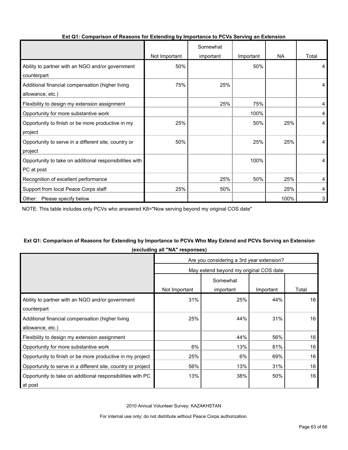|                                                         |               | Somewhat  |           |      |       |
|---------------------------------------------------------|---------------|-----------|-----------|------|-------|
|                                                         | Not Important | important | Important | NA.  | Total |
| Ability to partner with an NGO and/or government        | 50%           |           | 50%       |      | 4     |
| counterpart                                             |               |           |           |      |       |
| Additional financial compensation (higher living        | 75%           | 25%       |           |      | 4     |
| allowance, etc.)                                        |               |           |           |      |       |
| Flexibility to design my extension assignment           |               | 25%       | 75%       |      | 4     |
| Opportunity for more substantive work                   |               |           | 100%      |      | 4     |
| Opportunity to finish or be more productive in my       | 25%           |           | 50%       | 25%  | 4     |
| project                                                 |               |           |           |      |       |
| Opportunity to serve in a different site, country or    | 50%           |           | 25%       | 25%  | 4     |
| project                                                 |               |           |           |      |       |
| Opportunity to take on additional responsibilities with |               |           | 100%      |      | 4     |
| PC at post                                              |               |           |           |      |       |
| Recognition of excellent performance                    |               | 25%       | 50%       | 25%  | 4     |
| Support from local Peace Corps staff                    | 25%           | 50%       |           | 25%  | 4     |
| Please specify below<br>Other:                          |               |           |           | 100% | 3     |

#### **Ext Q1: Comparison of Reasons for Extending by Importance to PCVs Serving an Extension**

NOTE: This table includes only PCVs who answered K8="Now serving beyond my original COS date"

## **Ext Q1: Comparison of Reasons for Extending by Importance to PCVs Who May Extend and PCVs Serving an Extension (excluding all "NA" responses)**

|                                                              | Are you considering a 3rd year extension? |                       |           |                 |  |  |
|--------------------------------------------------------------|-------------------------------------------|-----------------------|-----------|-----------------|--|--|
|                                                              | May extend beyond my original COS date    |                       |           |                 |  |  |
|                                                              | Not Important                             | Somewhat<br>important | Important | Total           |  |  |
|                                                              |                                           |                       |           |                 |  |  |
| Ability to partner with an NGO and/or government             | 31%                                       | 25%                   | 44%       | 16 <sup>1</sup> |  |  |
| counterpart                                                  |                                           |                       |           |                 |  |  |
| Additional financial compensation (higher living             | 25%                                       | 44%                   | 31%       | 16              |  |  |
| allowance, etc.)                                             |                                           |                       |           |                 |  |  |
| Flexibility to design my extension assignment                |                                           | 44%                   | 56%       | 16              |  |  |
| Opportunity for more substantive work                        | 6%                                        | 13%                   | 81%       | 16              |  |  |
| Opportunity to finish or be more productive in my project    | 25%                                       | 6%                    | 69%       | 16              |  |  |
| Opportunity to serve in a different site, country or project | 56%                                       | 13%                   | 31%       | 16              |  |  |
| Opportunity to take on additional responsibilities with PC   | 13%                                       | 38%                   | 50%       | 16              |  |  |
| at post                                                      |                                           |                       |           |                 |  |  |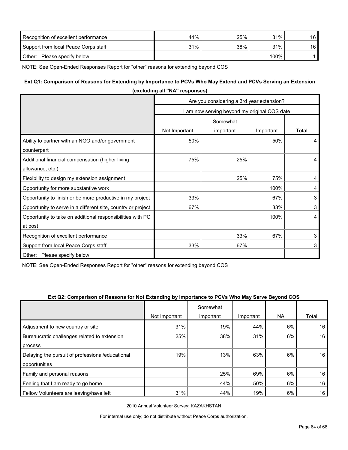| Recognition of excellent performance | 44% | 25% | 31%     | 16 <sup>1</sup> |
|--------------------------------------|-----|-----|---------|-----------------|
| Support from local Peace Corps staff | 31% | 38% | 31%     | 16 <sup>1</sup> |
| Other:<br>Please specify below       |     |     | $100\%$ |                 |

NOTE: See Open-Ended Responses Report for "other" reasons for extending beyond COS

## **Ext Q1: Comparison of Reasons for Extending by Importance to PCVs Who May Extend and PCVs Serving an Extension**

|                                                              | (excluding all NA responses)                 |           |           |       |  |  |
|--------------------------------------------------------------|----------------------------------------------|-----------|-----------|-------|--|--|
|                                                              | Are you considering a 3rd year extension?    |           |           |       |  |  |
|                                                              | I am now serving beyond my original COS date |           |           |       |  |  |
|                                                              |                                              | Somewhat  |           |       |  |  |
|                                                              | Not Important                                | important | Important | Total |  |  |
| Ability to partner with an NGO and/or government             | 50%                                          |           | 50%       | 4     |  |  |
| counterpart                                                  |                                              |           |           |       |  |  |
| Additional financial compensation (higher living             | 75%                                          | 25%       |           | 4     |  |  |
| allowance, etc.)                                             |                                              |           |           |       |  |  |
| Flexibility to design my extension assignment                |                                              | 25%       | 75%       | 4     |  |  |
| Opportunity for more substantive work                        |                                              |           | 100%      | 4     |  |  |
| Opportunity to finish or be more productive in my project    | 33%                                          |           | 67%       | 3     |  |  |
| Opportunity to serve in a different site, country or project | 67%                                          |           | 33%       | 3     |  |  |
| Opportunity to take on additional responsibilities with PC   |                                              |           | 100%      | 4     |  |  |
| at post                                                      |                                              |           |           |       |  |  |
| Recognition of excellent performance                         |                                              | 33%       | 67%       | 3     |  |  |
| Support from local Peace Corps staff                         | 33%                                          | 67%       |           | 3     |  |  |
| Other: Please specify below                                  |                                              |           |           |       |  |  |

**(excluding all "NA" responses)**

NOTE: See Open-Ended Responses Report for "other" reasons for extending beyond COS

#### **Ext Q2: Comparison of Reasons for Not Extending by Importance to PCVs Who May Serve Beyond COS**

|                                                  |               | Somewhat  |           |           |       |
|--------------------------------------------------|---------------|-----------|-----------|-----------|-------|
|                                                  | Not Important | important | Important | <b>NA</b> | Total |
| Adjustment to new country or site                | 31%           | 19%       | 44%       | 6%        | 16    |
| Bureaucratic challenges related to extension     | 25%           | 38%       | 31%       | 6%        | 16    |
| process                                          |               |           |           |           |       |
| Delaying the pursuit of professional/educational | 19%           | 13%       | 63%       | 6%        | 16    |
| opportunities                                    |               |           |           |           |       |
| Family and personal reasons                      |               | 25%       | 69%       | 6%        | 16    |
| Feeling that I am ready to go home               |               | 44%       | 50%       | 6%        | 16    |
| Fellow Volunteers are leaving/have left          | 31%           | 44%       | 19%       | 6%        | 16    |

2010 Annual Volunteer Survey: KAZAKHSTAN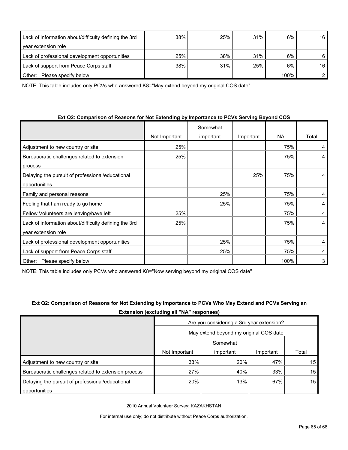| Lack of information about/difficulty defining the 3rd | 38% | 25% | 31% | 6%   | 16 |
|-------------------------------------------------------|-----|-----|-----|------|----|
| year extension role                                   |     |     |     |      |    |
| Lack of professional development opportunities        | 25% | 38% | 31% | 6%   | 16 |
| Lack of support from Peace Corps staff                | 38% | 31% | 25% | 6%   | 16 |
| Please specify below<br>Other:                        |     |     |     | 100% |    |

NOTE: This table includes only PCVs who answered K8="May extend beyond my original COS date"

## **Ext Q2: Comparison of Reasons for Not Extending by Importance to PCVs Serving Beyond COS**

|                                                       | Not Important | Somewhat<br>important | Important | <b>NA</b> | Total |
|-------------------------------------------------------|---------------|-----------------------|-----------|-----------|-------|
|                                                       |               |                       |           |           |       |
| Adjustment to new country or site                     | 25%           |                       |           | 75%       | 4     |
| Bureaucratic challenges related to extension          | 25%           |                       |           | 75%       | 4     |
| process                                               |               |                       |           |           |       |
| Delaying the pursuit of professional/educational      |               |                       | 25%       | 75%       | 4     |
| opportunities                                         |               |                       |           |           |       |
| Family and personal reasons                           |               | 25%                   |           | 75%       | 4     |
| Feeling that I am ready to go home                    |               | 25%                   |           | 75%       | 4     |
| Fellow Volunteers are leaving/have left               | 25%           |                       |           | 75%       | 4     |
| Lack of information about/difficulty defining the 3rd | 25%           |                       |           | 75%       | 4     |
| year extension role                                   |               |                       |           |           |       |
| Lack of professional development opportunities        |               | 25%                   |           | 75%       | 4     |
| Lack of support from Peace Corps staff                |               | 25%                   |           | 75%       | 4     |
| Please specify below<br>Other:                        |               |                       |           | 100%      | 3     |

NOTE: This table includes only PCVs who answered K8="Now serving beyond my original COS date"

## **Ext Q2: Comparison of Reasons for Not Extending by Importance to PCVs Who May Extend and PCVs Serving an Extension (excluding all "NA" responses)**

|                                                      | Are you considering a 3rd year extension? |           |           |       |  |  |
|------------------------------------------------------|-------------------------------------------|-----------|-----------|-------|--|--|
|                                                      | May extend beyond my original COS date    |           |           |       |  |  |
|                                                      |                                           | Somewhat  |           |       |  |  |
|                                                      | Not Important                             | important | Important | Total |  |  |
| Adjustment to new country or site                    | 33%                                       | 20%       | 47%       | 15    |  |  |
| Bureaucratic challenges related to extension process | 27%                                       | 40%       | 33%       | 15    |  |  |
| Delaying the pursuit of professional/educational     | 20%                                       | 13%       | 67%       | 15    |  |  |
| opportunities                                        |                                           |           |           |       |  |  |

2010 Annual Volunteer Survey: KAZAKHSTAN